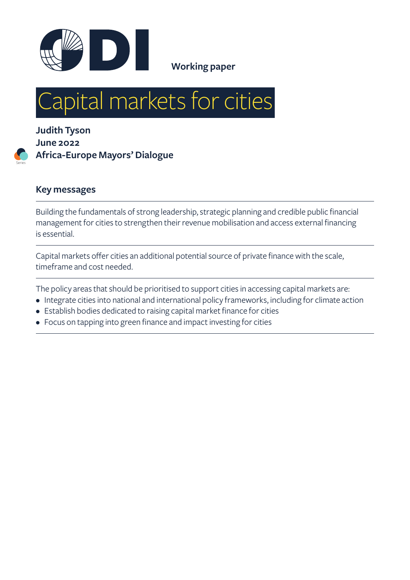

# Capital markets for cities

**Judith Tyson June 2022 Africa-Europe Mayors' Dialogue**

#### **Key messages**

Series

Building the fundamentals of strong leadership, strategic planning and credible public financial management for cities to strengthen their revenue mobilisation and access external financing is essential.

Capital markets offer cities an additional potential source of private finance with the scale, timeframe and cost needed.

The policy areas that should be prioritised to support cities in accessing capital markets are:

- Integrate cities into national and international policy frameworks, including for climate action
- Establish bodies dedicated to raising capital market finance for cities
- Focus on tapping into green finance and impact investing for cities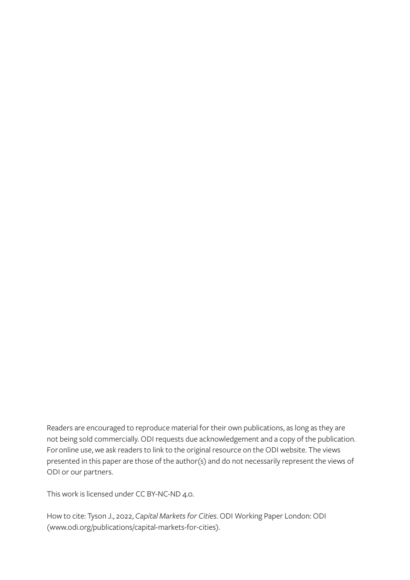Readers are encouraged to reproduce material for their own publications, as long as they are not being sold commercially. ODI requests due acknowledgement and a copy of the publication. For online use, we ask readers to link to the original resource on the ODI website. The views presented in this paper are those of the author(s) and do not necessarily represent the views of ODI or our partners.

This work is licensed under CC BY-NC-ND 4.0.

How to cite: Tyson J., 2022, *Capital Markets for Cities*. ODI Working Paper London: ODI [\(www.odi.org/publications/capital-markets-for-cities](http://www.odi.org/publications/capital-markets-for-cities)).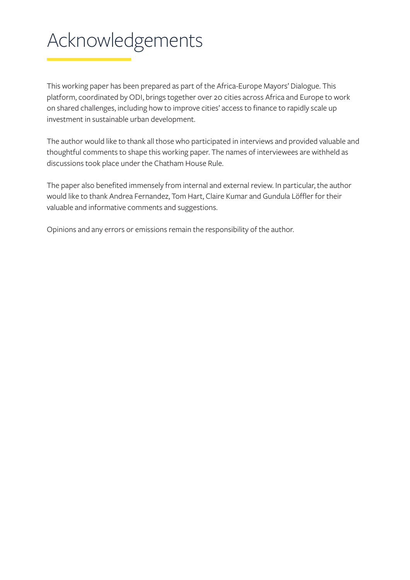# <span id="page-2-0"></span>Acknowledgements

This working paper has been prepared as part of the Africa-Europe Mayors' Dialogue. This platform, coordinated by ODI, brings together over 20 cities across Africa and Europe to work on shared challenges, including how to improve cities' access to finance to rapidly scale up investment in sustainable urban development.

The author would like to thank all those who participated in interviews and provided valuable and thoughtful comments to shape this working paper. The names of interviewees are withheld as discussions took place under the Chatham House Rule.

The paper also benefited immensely from internal and external review. In particular, the author would like to thank Andrea Fernandez, Tom Hart, Claire Kumar and Gundula Löffler for their valuable and informative comments and suggestions.

Opinions and any errors or emissions remain the responsibility of the author.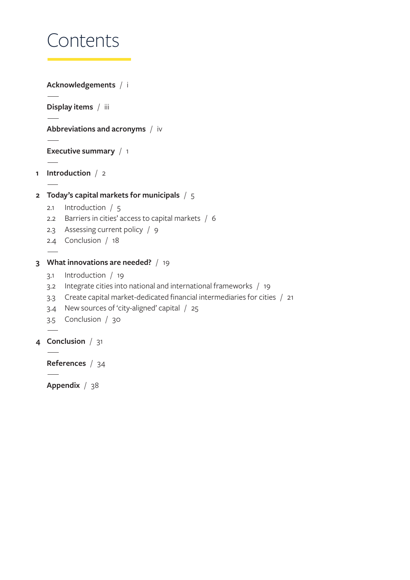# Contents

```
Acknowledgements / i
   Display items / iii
   Abbreviations and acronyms / iv
   Executive summary / 1
1 Introduction / 2
2 Today's capital markets for municipals / 5
   2.1 Introduction / 5
   2.2 Barriers in cities' access to capital markets / 6
   2.3 Assessing current policy / 9
   2.4 Conclusion / 18
3 What innovations are needed? / 19
   3.1 Introduction / 19
   3.2 Integrate cities into national and international frameworks / 19
   3.3 Create capital market-dedicated financial intermediaries for cities / 21
   3.4 New sources of 'city-aligned' capital / 25
   3.5 Conclusion / 30
4 Conclusion / 31
   References / 34
```
**[Appendix](#page-44-0)** / 38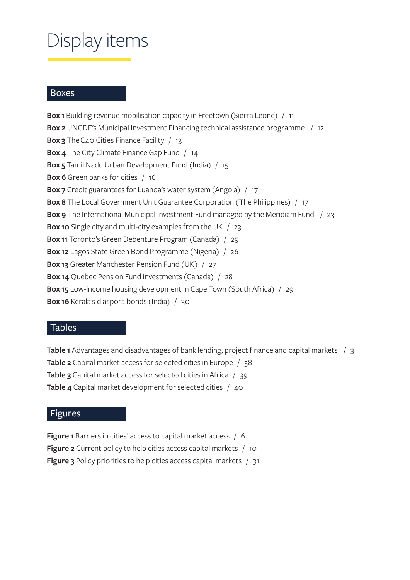# <span id="page-4-0"></span>Display items

#### **Boxes**

**Box 1** [Building revenue mobilisation capacity in Freetown \(Sierra Leone\)](#page-17-0) / 11 **Box 2** [UNCDF's Municipal Investment Financing technical assistance programme /](#page-18-0) 12 **Box 3** [The C40 Cities Finance Facility](#page-19-0) / 13 **Box 4** [The City Climate Finance Gap Fund](#page-20-0) / 14 **Box 5** [Tamil Nadu Urban Development Fund \(India\)](#page-21-0) / 15 **Box 6** [Green banks for cities](#page-22-0) / 16 **Box 7** [Credit guarantees for Luanda's water system \(Angola\)](#page-23-0) / 17 **Box 8** [The Local Government Unit Guarantee Corporation \(The Philippines\)](#page-23-0) / 17 **Box 9** [The International Municipal Investment Fund managed by the Meridiam Fund /](#page-29-0) 23 **Box 10** [Single city and multi-city examples from the UK](#page-29-0) / 23 **Box 11** [Toronto's Green Debenture Program \(Canada\)](#page-31-0) / 25 **Box 12** [Lagos State Green Bond Programme \(Nigeria\)](#page-32-0) / 26 **Box 13** [Greater Manchester Pension Fund \(UK\)](#page-33-0) / 27 **Box 14** [Quebec Pension Fund investments \(Canada\)](#page-34-0) / 28 **Box 15** [Low-income housing development in Cape Town \(South Africa\)](#page-35-0) / 29 **Box 16** [Kerala's diaspora bonds \(India\)](#page-36-0) / 30

#### Tables

**Table 1** [Advantages and disadvantages of bank lending, project finance and capital markets /](#page-9-0) 3 **Table 2** [Capital market access for selected cities in Europe](#page-44-0) / 38 **Table 3** [Capital market access for selected cities in Africa](#page-45-0) / 39 **Table 4** [Capital market development for selected cities](#page-46-0) / 40

#### Figures

**Figure 1** [Barriers in cities' access to capital market access](#page-12-0) / 6 **Figure 2** [Current policy to help cities access capital markets](#page-16-0) / 10 **Figure 3** [Policy priorities to help cities access capital markets](#page-37-0) / 31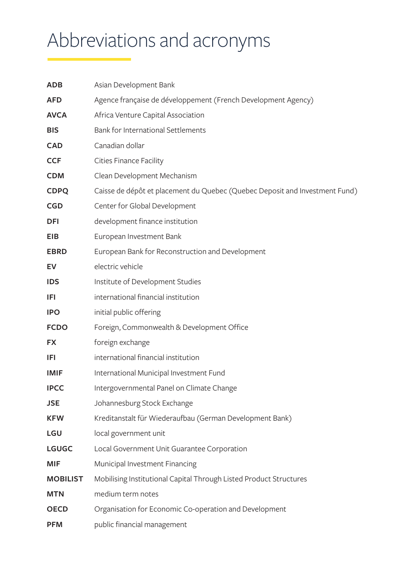# <span id="page-5-0"></span>Abbreviations and acronyms

| <b>ADB</b>      | Asian Development Bank                                                      |  |  |
|-----------------|-----------------------------------------------------------------------------|--|--|
| <b>AFD</b>      | Agence française de développement (French Development Agency)               |  |  |
| <b>AVCA</b>     | Africa Venture Capital Association                                          |  |  |
| <b>BIS</b>      | Bank for International Settlements                                          |  |  |
| <b>CAD</b>      | Canadian dollar                                                             |  |  |
| <b>CCF</b>      | <b>Cities Finance Facility</b>                                              |  |  |
| <b>CDM</b>      | Clean Development Mechanism                                                 |  |  |
| <b>CDPQ</b>     | Caisse de dépôt et placement du Quebec (Quebec Deposit and Investment Fund) |  |  |
| <b>CGD</b>      | Center for Global Development                                               |  |  |
| <b>DFI</b>      | development finance institution                                             |  |  |
| <b>EIB</b>      | European Investment Bank                                                    |  |  |
| <b>EBRD</b>     | European Bank for Reconstruction and Development                            |  |  |
| EV              | electric vehicle                                                            |  |  |
| <b>IDS</b>      | Institute of Development Studies                                            |  |  |
| IFI             | international financial institution                                         |  |  |
| <b>IPO</b>      | initial public offering                                                     |  |  |
| <b>FCDO</b>     | Foreign, Commonwealth & Development Office                                  |  |  |
| <b>FX</b>       | foreign exchange                                                            |  |  |
| IFI             | international financial institution                                         |  |  |
| <b>IMIF</b>     | International Municipal Investment Fund                                     |  |  |
| <b>IPCC</b>     | Intergovernmental Panel on Climate Change                                   |  |  |
| <b>JSE</b>      | Johannesburg Stock Exchange                                                 |  |  |
| <b>KFW</b>      | Kreditanstalt für Wiederaufbau (German Development Bank)                    |  |  |
| <b>LGU</b>      | local government unit                                                       |  |  |
| <b>LGUGC</b>    | Local Government Unit Guarantee Corporation                                 |  |  |
| <b>MIF</b>      | Municipal Investment Financing                                              |  |  |
| <b>MOBILIST</b> | Mobilising Institutional Capital Through Listed Product Structures          |  |  |
| <b>MTN</b>      | medium term notes                                                           |  |  |
| <b>OECD</b>     | Organisation for Economic Co-operation and Development                      |  |  |
| <b>PFM</b>      | public financial management                                                 |  |  |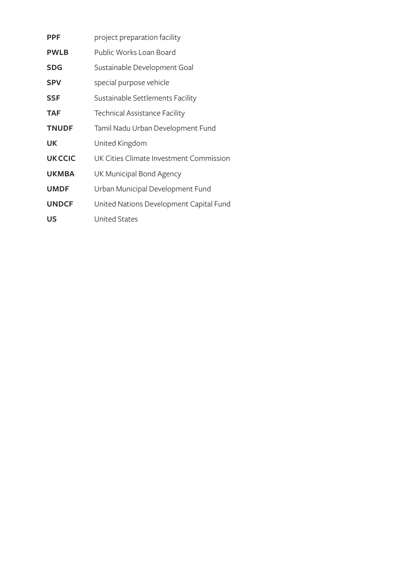| <b>PPF</b>    | project preparation facility            |  |  |
|---------------|-----------------------------------------|--|--|
| <b>PWLB</b>   | Public Works Loan Board                 |  |  |
| <b>SDG</b>    | Sustainable Development Goal            |  |  |
| <b>SPV</b>    | special purpose vehicle                 |  |  |
| <b>SSF</b>    | Sustainable Settlements Facility        |  |  |
| <b>TAF</b>    | <b>Technical Assistance Facility</b>    |  |  |
| <b>TNUDF</b>  | Tamil Nadu Urban Development Fund       |  |  |
| UK            | United Kingdom                          |  |  |
| <b>UKCCIC</b> | UK Cities Climate Investment Commission |  |  |
| <b>UKMBA</b>  | UK Municipal Bond Agency                |  |  |
| <b>UMDF</b>   | Urban Municipal Development Fund        |  |  |
| <b>UNDCF</b>  | United Nations Development Capital Fund |  |  |
| US            | <b>United States</b>                    |  |  |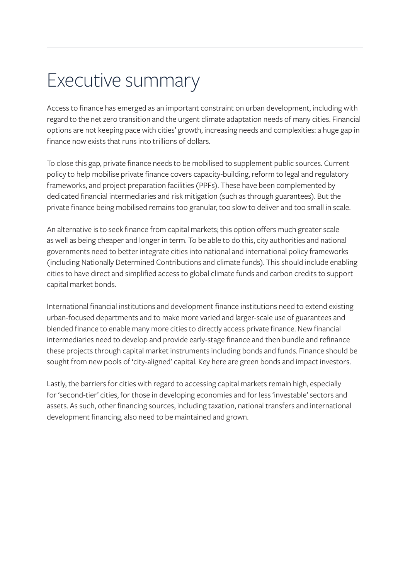## <span id="page-7-0"></span>Executive summary

Access to finance has emerged as an important constraint on urban development, including with regard to the net zero transition and the urgent climate adaptation needs of many cities. Financial options are not keeping pace with cities' growth, increasing needs and complexities: a huge gap in finance now exists that runs into trillions of dollars.

To close this gap, private finance needs to be mobilised to supplement public sources. Current policy to help mobilise private finance covers capacity-building, reform to legal and regulatory frameworks, and project preparation facilities (PPFs). These have been complemented by dedicated financial intermediaries and risk mitigation (such as through guarantees). But the private finance being mobilised remains too granular, too slow to deliver and too small in scale.

An alternative is to seek finance from capital markets; this option offers much greater scale as well as being cheaper and longer in term. To be able to do this, city authorities and national governments need to better integrate cities into national and international policy frameworks (including Nationally Determined Contributions and climate funds). This should include enabling cities to have direct and simplified access to global climate funds and carbon credits to support capital market bonds.

International financial institutions and development finance institutions need to extend existing urban-focused departments and to make more varied and larger-scale use of guarantees and blended finance to enable many more cities to directly access private finance. New financial intermediaries need to develop and provide early-stage finance and then bundle and refinance these projects through capital market instruments including bonds and funds. Finance should be sought from new pools of 'city-aligned' capital. Key here are green bonds and impact investors.

Lastly, the barriers for cities with regard to accessing capital markets remain high, especially for 'second-tier' cities, for those in developing economies and for less 'investable' sectors and assets. As such, other financing sources, including taxation, national transfers and international development financing, also need to be maintained and grown.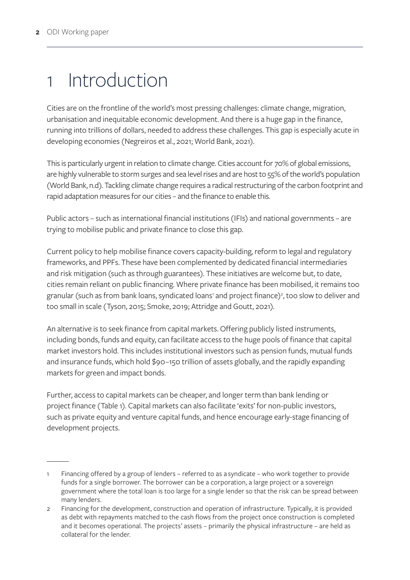# <span id="page-8-0"></span>1 Introduction

Cities are on the frontline of the world's most pressing challenges: climate change, migration, urbanisation and inequitable economic development. And there is a huge gap in the finance, running into trillions of dollars, needed to address these challenges. This gap is especially acute in developing economies (Negreiros et al., 2021; World Bank, 2021).

This is particularly urgent in relation to climate change. Cities account for 70% of global emissions, are highly vulnerable to storm surges and sea level rises and are host to 55% of the world's population (World Bank, n.d). Tackling climate change requires a radical restructuring of the carbon footprint and rapid adaptation measures for our cities – and the finance to enable this.

Public actors – such as international financial institutions (IFIs) and national governments – are trying to mobilise public and private finance to close this gap.

Current policy to help mobilise finance covers capacity-building, reform to legal and regulatory frameworks, and PPFs. These have been complemented by dedicated financial intermediaries and risk mitigation (such as through guarantees). These initiatives are welcome but, to date, cities remain reliant on public financing. Where private finance has been mobilised, it remains too granular (such as from bank loans, syndicated loans' and project finance)<sup>2</sup>, too slow to deliver and too small in scale (Tyson, 2015; Smoke, 2019; Attridge and Goutt, 2021).

An alternative is to seek finance from capital markets. Offering publicly listed instruments, including bonds, funds and equity, can facilitate access to the huge pools of finance that capital market investors hold. This includes institutional investors such as pension funds, mutual funds and insurance funds, which hold \$90–150 trillion of assets globally, and the rapidly expanding markets for green and impact bonds.

Further, access to capital markets can be cheaper, and longer term than bank lending or project finance (Table 1). Capital markets can also facilitate 'exits' for non-public investors, such as private equity and venture capital funds, and hence encourage early-stage financing of development projects.

Financing offered by a group of lenders – referred to as a syndicate – who work together to provide funds for a single borrower. The borrower can be a corporation, a large project or a sovereign government where the total loan is too large for a single lender so that the risk can be spread between many lenders.

<sup>2</sup> Financing for the development, construction and operation of infrastructure. Typically, it is provided as debt with repayments matched to the cash flows from the project once construction is completed and it becomes operational. The projects' assets – primarily the physical infrastructure – are held as collateral for the lender.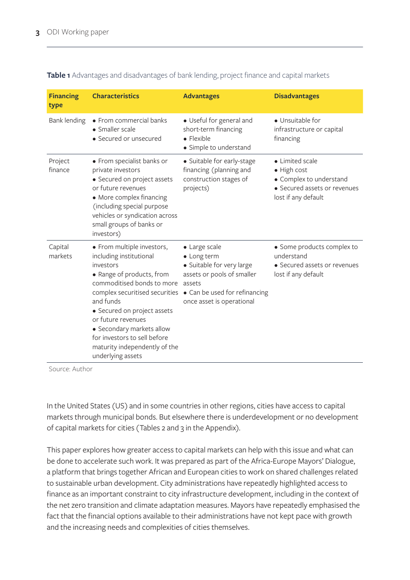| <b>Financing</b><br>type | <b>Characteristics</b>                                                                                                                                                                                                                                                                                                                               | <b>Advantages</b>                                                                                                                                               | <b>Disadvantages</b>                                                                                             |
|--------------------------|------------------------------------------------------------------------------------------------------------------------------------------------------------------------------------------------------------------------------------------------------------------------------------------------------------------------------------------------------|-----------------------------------------------------------------------------------------------------------------------------------------------------------------|------------------------------------------------------------------------------------------------------------------|
| Bank lending             | • From commercial banks<br>• Smaller scale<br>• Secured or unsecured                                                                                                                                                                                                                                                                                 | • Useful for general and<br>short-term financing<br>$\bullet$ Flexible<br>• Simple to understand                                                                | • Unsuitable for<br>infrastructure or capital<br>financing                                                       |
| Project<br>finance       | • From specialist banks or<br>private investors<br>• Secured on project assets<br>or future revenues<br>• More complex financing<br>(including special purpose<br>vehicles or syndication across<br>small groups of banks or<br>investors)                                                                                                           | • Suitable for early-stage<br>financing (planning and<br>construction stages of<br>projects)                                                                    | • Limited scale<br>• High cost<br>• Complex to understand<br>• Secured assets or revenues<br>lost if any default |
| Capital<br>markets       | • From multiple investors,<br>including institutional<br>investors<br>• Range of products, from<br>commoditised bonds to more<br>complex securitised securities<br>and funds<br>• Secured on project assets<br>or future revenues<br>• Secondary markets allow<br>for investors to sell before<br>maturity independently of the<br>underlying assets | • Large scale<br>• Long term<br>• Suitable for very large<br>assets or pools of smaller<br>assets<br>• Can be used for refinancing<br>once asset is operational | • Some products complex to<br>understand<br>• Secured assets or revenues<br>lost if any default                  |

<span id="page-9-0"></span>**Table 1** Advantages and disadvantages of bank lending, project finance and capital markets

Source: Author

In the United States (US) and in some countries in other regions, cities have access to capital markets through municipal bonds. But elsewhere there is underdevelopment or no development of capital markets for cities (Tables 2 and 3 in the Appendix).

This paper explores how greater access to capital markets can help with this issue and what can be done to accelerate such work. It was prepared as part of the Africa-Europe Mayors' Dialogue, a platform that brings together African and European cities to work on shared challenges related to sustainable urban development. City administrations have repeatedly highlighted access to finance as an important constraint to city infrastructure development, including in the context of the net zero transition and climate adaptation measures. Mayors have repeatedly emphasised the fact that the financial options available to their administrations have not kept pace with growth and the increasing needs and complexities of cities themselves.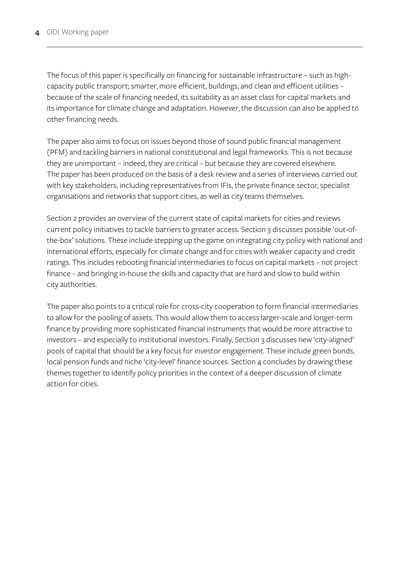The focus of this paper is specifically on financing for sustainable infrastructure – such as highcapacity public transport; smarter, more efficient, buildings; and clean and efficient utilities – because of the scale of financing needed, its suitability as an asset class for capital markets and its importance for climate change and adaptation. However, the discussion can also be applied to other financing needs.

The paper also aims to focus on issues beyond those of sound public financial management (PFM) and tackling barriers in national constitutional and legal frameworks. This is not because they are unimportant – indeed, they are critical – but because they are covered elsewhere. The paper has been produced on the basis of a desk review and a series of interviews carried out with key stakeholders, including representatives from IFIs, the private finance sector, specialist organisations and networks that support cities, as well as city teams themselves.

Section 2 provides an overview of the current state of capital markets for cities and reviews current policy initiatives to tackle barriers to greater access. Section 3 discusses possible 'out-ofthe-box' solutions. These include stepping up the game on integrating city policy with national and international efforts, especially for climate change and for cities with weaker capacity and credit ratings. This includes rebooting financial intermediaries to focus on capital markets – not project finance – and bringing in-house the skills and capacity that are hard and slow to build within city authorities.

The paper also points to a critical role for cross-city cooperation to form financial intermediaries to allow for the pooling of assets. This would allow them to access larger-scale and longer-term finance by providing more sophisticated financial instruments that would be more attractive to investors – and especially to institutional investors. Finally, Section 3 discusses new 'city-aligned' pools of capital that should be a key focus for investor engagement. These include green bonds, local pension funds and niche 'city-level' finance sources. Section 4 concludes by drawing these themes together to identify policy priorities in the context of a deeper discussion of climate action for cities.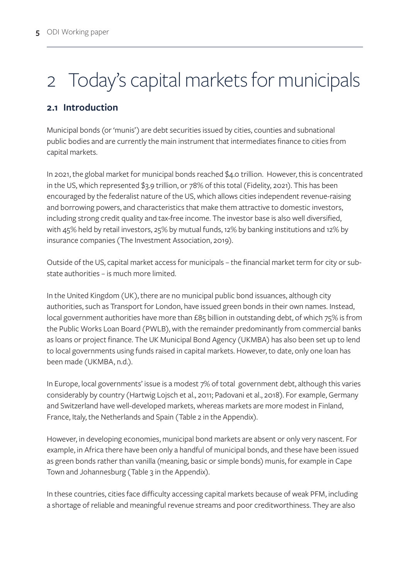# <span id="page-11-0"></span>2 Today's capital markets for municipals

#### **2.1 Introduction**

Municipal bonds (or 'munis') are debt securities issued by cities, counties and subnational public bodies and are currently the main instrument that intermediates finance to cities from capital markets.

In 2021, the global market for municipal bonds reached \$4.0 trillion. However, this is concentrated in the US, which represented \$3.9 trillion, or 78% of this total (Fidelity, 2021). This has been encouraged by the federalist nature of the US, which allows cities independent revenue-raising and borrowing powers, and characteristics that make them attractive to domestic investors, including strong credit quality and tax-free income. The investor base is also well diversified, with 45% held by retail investors, 25% by mutual funds, 12% by banking institutions and 12% by insurance companies (The Investment Association, 2019).

Outside of the US, capital market access for municipals – the financial market term for city or substate authorities – is much more limited.

In the United Kingdom (UK), there are no municipal public bond issuances, although city authorities, such as Transport for London, have issued green bonds in their own names. Instead, local government authorities have more than £85 billion in outstanding debt, of which 75% is from the Public Works Loan Board (PWLB), with the remainder predominantly from commercial banks as loans or project finance. The UK Municipal Bond Agency (UKMBA) has also been set up to lend to local governments using funds raised in capital markets. However, to date, only one loan has been made (UKMBA, n.d.).

In Europe, local governments' issue is a modest 7% of total government debt, although this varies considerably by country (Hartwig Lojsch et al., 2011; Padovani et al., 2018). For example, Germany and Switzerland have well-developed markets, whereas markets are more modest in Finland, France, Italy, the Netherlands and Spain (Table 2 in the Appendix).

However, in developing economies, municipal bond markets are absent or only very nascent. For example, in Africa there have been only a handful of municipal bonds, and these have been issued as green bonds rather than vanilla (meaning, basic or simple bonds) munis, for example in Cape Town and Johannesburg (Table 3 in the Appendix).

In these countries, cities face difficulty accessing capital markets because of weak PFM, including a shortage of reliable and meaningful revenue streams and poor creditworthiness. They are also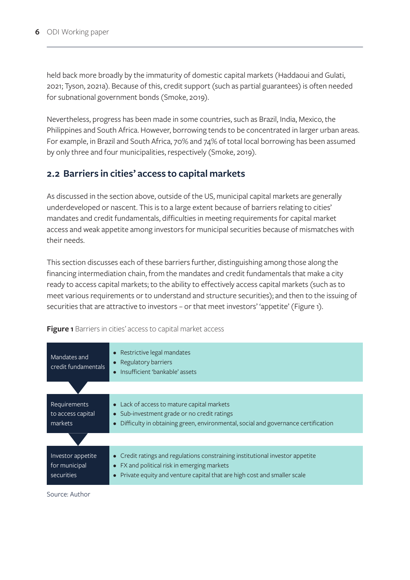<span id="page-12-0"></span>held back more broadly by the immaturity of domestic capital markets (Haddaoui and Gulati, 2021; Tyson, 2021a). Because of this, credit support (such as partial guarantees) is often needed for subnational government bonds (Smoke, 2019).

Nevertheless, progress has been made in some countries, such as Brazil, India, Mexico, the Philippines and South Africa. However, borrowing tends to be concentrated in larger urban areas. For example, in Brazil and South Africa, 70% and 74% of total local borrowing has been assumed by only three and four municipalities, respectively (Smoke, 2019).

#### **2.2 Barriers in cities' access to capital markets**

As discussed in the section above, outside of the US, municipal capital markets are generally underdeveloped or nascent. This is to a large extent because of barriers relating to cities' mandates and credit fundamentals, difficulties in meeting requirements for capital market access and weak appetite among investors for municipal securities because of mismatches with their needs.

This section discusses each of these barriers further, distinguishing among those along the financing intermediation chain, from the mandates and credit fundamentals that make a city ready to access capital markets; to the ability to effectively access capital markets (such as to meet various requirements or to understand and structure securities); and then to the issuing of securities that are attractive to investors – or that meet investors' 'appetite' (Figure 1).

| Mandates and<br>credit fundamentals              | • Restrictive legal mandates<br>• Regulatory barriers<br>• Insufficient 'bankable' assets                                                                                                               |  |
|--------------------------------------------------|---------------------------------------------------------------------------------------------------------------------------------------------------------------------------------------------------------|--|
|                                                  |                                                                                                                                                                                                         |  |
| Requirements<br>to access capital<br>markets     | • Lack of access to mature capital markets<br>• Sub-investment grade or no credit ratings<br>Difficulty in obtaining green, environmental, social and governance certification                          |  |
|                                                  |                                                                                                                                                                                                         |  |
| Investor appetite<br>for municipal<br>securities | • Credit ratings and regulations constraining institutional investor appetite<br>• FX and political risk in emerging markets<br>Private equity and venture capital that are high cost and smaller scale |  |

**Figure 1** Barriers in cities' access to capital market access

Source: Author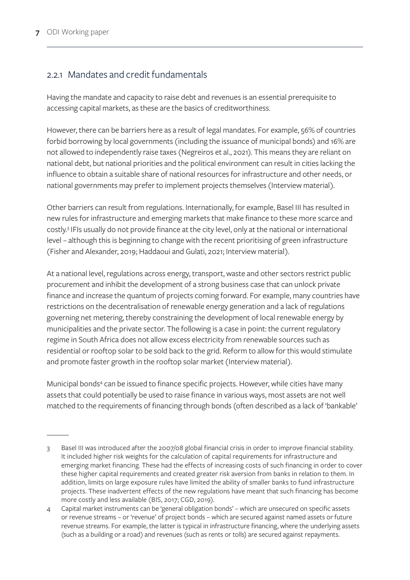#### 2.2.1 Mandates and credit fundamentals

Having the mandate and capacity to raise debt and revenues is an essential prerequisite to accessing capital markets, as these are the basics of creditworthiness.

However, there can be barriers here as a result of legal mandates. For example, 56% of countries forbid borrowing by local governments (including the issuance of municipal bonds) and 16% are not allowed to independently raise taxes (Negreiros et al., 2021). This means they are reliant on national debt, but national priorities and the political environment can result in cities lacking the influence to obtain a suitable share of national resources for infrastructure and other needs, or national governments may prefer to implement projects themselves (Interview material).

Other barriers can result from regulations. Internationally, for example, Basel III has resulted in new rules for infrastructure and emerging markets that make finance to these more scarce and costly.3 IFIs usually do not provide finance at the city level, only at the national or international level – although this is beginning to change with the recent prioritising of green infrastructure (Fisher and Alexander, 2019; Haddaoui and Gulati, 2021; Interview material).

At a national level, regulations across energy, transport, waste and other sectors restrict public procurement and inhibit the development of a strong business case that can unlock private finance and increase the quantum of projects coming forward. For example, many countries have restrictions on the decentralisation of renewable energy generation and a lack of regulations governing net metering, thereby constraining the development of local renewable energy by municipalities and the private sector. The following is a case in point: the current regulatory regime in South Africa does not allow excess electricity from renewable sources such as residential or rooftop solar to be sold back to the grid. Reform to allow for this would stimulate and promote faster growth in the rooftop solar market (Interview material).

Municipal bonds<sup>4</sup> can be issued to finance specific projects. However, while cities have many assets that could potentially be used to raise finance in various ways, most assets are not well matched to the requirements of financing through bonds (often described as a lack of 'bankable'

<sup>3</sup> Basel III was introduced after the 2007/08 global financial crisis in order to improve financial stability. It included higher risk weights for the calculation of capital requirements for infrastructure and emerging market financing. These had the effects of increasing costs of such financing in order to cover these higher capital requirements and created greater risk aversion from banks in relation to them. In addition, limits on large exposure rules have limited the ability of smaller banks to fund infrastructure projects. These inadvertent effects of the new regulations have meant that such financing has become more costly and less available (BIS, 2017; CGD, 2019).

<sup>4</sup> Capital market instruments can be 'general obligation bonds' – which are unsecured on specific assets or revenue streams – or 'revenue' of project bonds – which are secured against named assets or future revenue streams. For example, the latter is typical in infrastructure financing, where the underlying assets (such as a building or a road) and revenues (such as rents or tolls) are secured against repayments.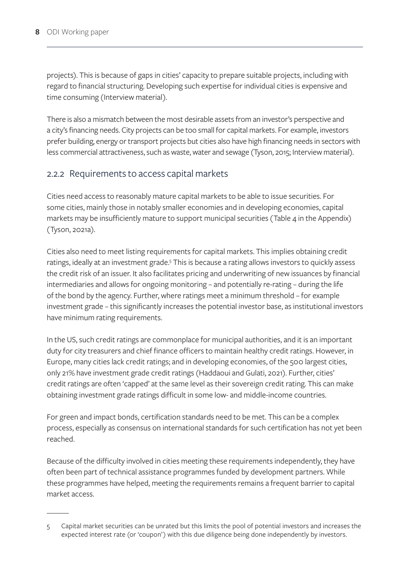projects). This is because of gaps in cities' capacity to prepare suitable projects, including with regard to financial structuring. Developing such expertise for individual cities is expensive and time consuming (Interview material).

There is also a mismatch between the most desirable assets from an investor's perspective and a city's financing needs. City projects can be too small for capital markets. For example, investors prefer building, energy or transport projects but cities also have high financing needs in sectors with less commercial attractiveness, such as waste, water and sewage (Tyson, 2015; Interview material).

#### 2.2.2 Requirements to access capital markets

Cities need access to reasonably mature capital markets to be able to issue securities. For some cities, mainly those in notably smaller economies and in developing economies, capital markets may be insufficiently mature to support municipal securities (Table 4 in the Appendix) (Tyson, 2021a).

Cities also need to meet listing requirements for capital markets. This implies obtaining credit ratings, ideally at an investment grade.<sup>5</sup> This is because a rating allows investors to quickly assess the credit risk of an issuer. It also facilitates pricing and underwriting of new issuances by financial intermediaries and allows for ongoing monitoring – and potentially re-rating – during the life of the bond by the agency. Further, where ratings meet a minimum threshold – for example investment grade – this significantly increases the potential investor base, as institutional investors have minimum rating requirements.

In the US, such credit ratings are commonplace for municipal authorities, and it is an important duty for city treasurers and chief finance officers to maintain healthy credit ratings. However, in Europe, many cities lack credit ratings; and in developing economies, of the 500 largest cities, only 21% have investment grade credit ratings (Haddaoui and Gulati, 2021). Further, cities' credit ratings are often 'capped' at the same level as their sovereign credit rating. This can make obtaining investment grade ratings difficult in some low- and middle-income countries.

For green and impact bonds, certification standards need to be met. This can be a complex process, especially as consensus on international standards for such certification has not yet been reached.

Because of the difficulty involved in cities meeting these requirements independently, they have often been part of technical assistance programmes funded by development partners. While these programmes have helped, meeting the requirements remains a frequent barrier to capital market access.

<sup>5</sup> Capital market securities can be unrated but this limits the pool of potential investors and increases the expected interest rate (or 'coupon') with this due diligence being done independently by investors.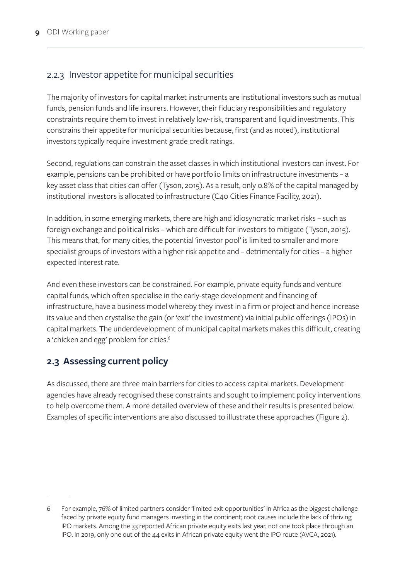### <span id="page-15-0"></span>2.2.3 Investor appetite for municipal securities

The majority of investors for capital market instruments are institutional investors such as mutual funds, pension funds and life insurers. However, their fiduciary responsibilities and regulatory constraints require them to invest in relatively low-risk, transparent and liquid investments. This constrains their appetite for municipal securities because, first (and as noted), institutional investors typically require investment grade credit ratings.

Second, regulations can constrain the asset classes in which institutional investors can invest. For example, pensions can be prohibited or have portfolio limits on infrastructure investments – a key asset class that cities can offer (Tyson, 2015). As a result, only 0.8% of the capital managed by institutional investors is allocated to infrastructure (C40 Cities Finance Facility, 2021).

In addition, in some emerging markets, there are high and idiosyncratic market risks – such as foreign exchange and political risks – which are difficult for investors to mitigate (Tyson, 2015). This means that, for many cities, the potential 'investor pool' is limited to smaller and more specialist groups of investors with a higher risk appetite and – detrimentally for cities – a higher expected interest rate.

And even these investors can be constrained. For example, private equity funds and venture capital funds, which often specialise in the early-stage development and financing of infrastructure, have a business model whereby they invest in a firm or project and hence increase its value and then crystalise the gain (or 'exit' the investment) via initial public offerings (IPOs) in capital markets. The underdevelopment of municipal capital markets makes this difficult, creating a 'chicken and egg' problem for cities.<sup>6</sup>

#### **2.3 Assessing current policy**

As discussed, there are three main barriers for cities to access capital markets. Development agencies have already recognised these constraints and sought to implement policy interventions to help overcome them. A more detailed overview of these and their results is presented below. Examples of specific interventions are also discussed to illustrate these approaches (Figure 2).

<sup>6</sup> For example, 76% of limited partners consider 'limited exit opportunities' in Africa as the biggest challenge faced by private equity fund managers investing in the continent; root causes include the lack of thriving IPO markets. Among the 33 reported African private equity exits last year, not one took place through an IPO. In 2019, only one out of the 44 exits in African private equity went the IPO route (AVCA, 2021).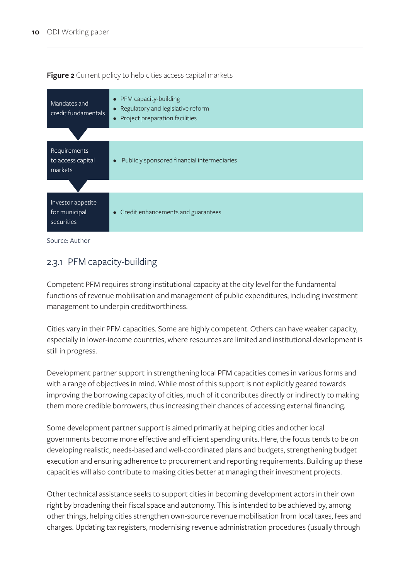<span id="page-16-0"></span>**Figure 2** Current policy to help cities access capital markets



Source: Author

#### 2.3.1 PFM capacity-building

Competent PFM requires strong institutional capacity at the city level for the fundamental functions of revenue mobilisation and management of public expenditures, including investment management to underpin creditworthiness.

Cities vary in their PFM capacities. Some are highly competent. Others can have weaker capacity, especially in lower-income countries, where resources are limited and institutional development is still in progress.

Development partner support in strengthening local PFM capacities comes in various forms and with a range of objectives in mind. While most of this support is not explicitly geared towards improving the borrowing capacity of cities, much of it contributes directly or indirectly to making them more credible borrowers, thus increasing their chances of accessing external financing.

Some development partner support is aimed primarily at helping cities and other local governments become more effective and efficient spending units. Here, the focus tends to be on developing realistic, needs-based and well-coordinated plans and budgets, strengthening budget execution and ensuring adherence to procurement and reporting requirements. Building up these capacities will also contribute to making cities better at managing their investment projects.

Other technical assistance seeks to support cities in becoming development actors in their own right by broadening their fiscal space and autonomy. This is intended to be achieved by, among other things, helping cities strengthen own-source revenue mobilisation from local taxes, fees and charges. Updating tax registers, modernising revenue administration procedures (usually through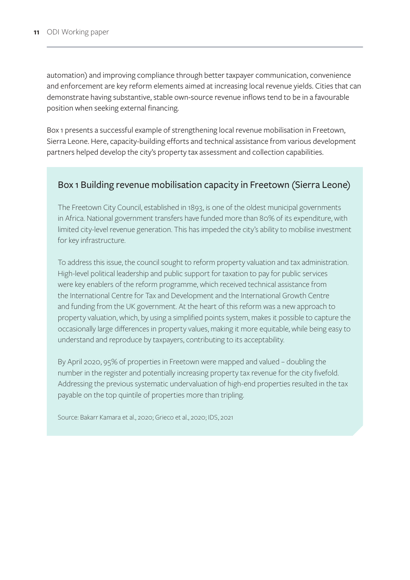<span id="page-17-0"></span>automation) and improving compliance through better taxpayer communication, convenience and enforcement are key reform elements aimed at increasing local revenue yields. Cities that can demonstrate having substantive, stable own-source revenue inflows tend to be in a favourable position when seeking external financing.

Box 1 presents a successful example of strengthening local revenue mobilisation in Freetown, Sierra Leone. Here, capacity-building efforts and technical assistance from various development partners helped develop the city's property tax assessment and collection capabilities.

#### Box 1 Building revenue mobilisation capacity in Freetown (Sierra Leone)

The Freetown City Council, established in 1893, is one of the oldest municipal governments in Africa. National government transfers have funded more than 80% of its expenditure, with limited city-level revenue generation. This has impeded the city's ability to mobilise investment for key infrastructure.

To address this issue, the council sought to reform property valuation and tax administration. High-level political leadership and public support for taxation to pay for public services were key enablers of the reform programme, which received technical assistance from the International Centre for Tax and Development and the International Growth Centre and funding from the UK government. At the heart of this reform was a new approach to property valuation, which, by using a simplified points system, makes it possible to capture the occasionally large differences in property values, making it more equitable, while being easy to understand and reproduce by taxpayers, contributing to its acceptability.

By April 2020, 95% of properties in Freetown were mapped and valued – doubling the number in the register and potentially increasing property tax revenue for the city fivefold. Addressing the previous systematic undervaluation of high-end properties resulted in the tax payable on the top quintile of properties more than tripling.

Source: Bakarr Kamara et al., 2020; Grieco et al., 2020; IDS, 2021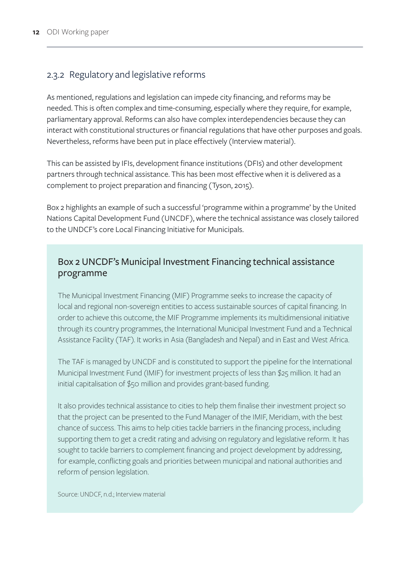#### <span id="page-18-0"></span>2.3.2 Regulatory and legislative reforms

As mentioned, regulations and legislation can impede city financing, and reforms may be needed. This is often complex and time-consuming, especially where they require, for example, parliamentary approval. Reforms can also have complex interdependencies because they can interact with constitutional structures or financial regulations that have other purposes and goals. Nevertheless, reforms have been put in place effectively (Interview material).

This can be assisted by IFIs, development finance institutions (DFIs) and other development partners through technical assistance. This has been most effective when it is delivered as a complement to project preparation and financing (Tyson, 2015).

Box 2 highlights an example of such a successful 'programme within a programme' by the United Nations Capital Development Fund (UNCDF), where the technical assistance was closely tailored to the UNDCF's core Local Financing Initiative for Municipals.

#### Box 2 UNCDF's Municipal Investment Financing technical assistance programme

The Municipal Investment Financing (MIF) Programme seeks to increase the capacity of local and regional non-sovereign entities to access sustainable sources of capital financing. In order to achieve this outcome, the MIF Programme implements its multidimensional initiative through its country programmes, the International Municipal Investment Fund and a Technical Assistance Facility (TAF). It works in Asia (Bangladesh and Nepal) and in East and West Africa.

The TAF is managed by UNCDF and is constituted to support the pipeline for the International Municipal Investment Fund (IMIF) for investment projects of less than \$25 million. It had an initial capitalisation of \$50 million and provides grant-based funding.

It also provides technical assistance to cities to help them finalise their investment project so that the project can be presented to the Fund Manager of the IMIF, Meridiam, with the best chance of success. This aims to help cities tackle barriers in the financing process, including supporting them to get a credit rating and advising on regulatory and legislative reform. It has sought to tackle barriers to complement financing and project development by addressing, for example, conflicting goals and priorities between municipal and national authorities and reform of pension legislation.

Source: UNDCF, n.d.; Interview material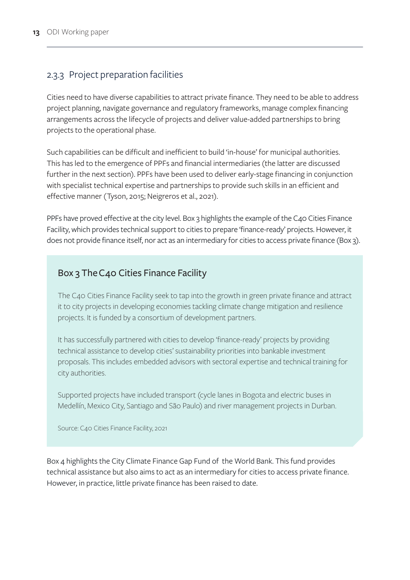#### <span id="page-19-0"></span>2.3.3 Project preparation facilities

Cities need to have diverse capabilities to attract private finance. They need to be able to address project planning, navigate governance and regulatory frameworks, manage complex financing arrangements across the lifecycle of projects and deliver value-added partnerships to bring projects to the operational phase.

Such capabilities can be difficult and inefficient to build 'in-house' for municipal authorities. This has led to the emergence of PPFs and financial intermediaries (the latter are discussed further in the next section). PPFs have been used to deliver early-stage financing in conjunction with specialist technical expertise and partnerships to provide such skills in an efficient and effective manner (Tyson, 2015; Neigreros et al., 2021).

PPFs have proved effective at the city level. Box 3 highlights the example of the C40 Cities Finance Facility, which provides technical support to cities to prepare 'finance-ready' projects. However, it does not provide finance itself, nor act as an intermediary for cities to access private finance (Box 3).

#### Box 3 The C40 Cities Finance Facility

The C40 Cities Finance Facility seek to tap into the growth in green private finance and attract it to city projects in developing economies tackling climate change mitigation and resilience projects. It is funded by a consortium of development partners.

It has successfully partnered with cities to develop 'finance-ready' projects by providing technical assistance to develop cities' sustainability priorities into bankable investment proposals. This includes embedded advisors with sectoral expertise and technical training for city authorities.

Supported projects have included transport (cycle lanes in Bogota and electric buses in Medellín, Mexico City, Santiago and São Paulo) and river management projects in Durban.

Source: C40 Cities Finance Facility, 2021

Box 4 highlights the City Climate Finance Gap Fund of the World Bank. This fund provides technical assistance but also aims to act as an intermediary for cities to access private finance. However, in practice, little private finance has been raised to date.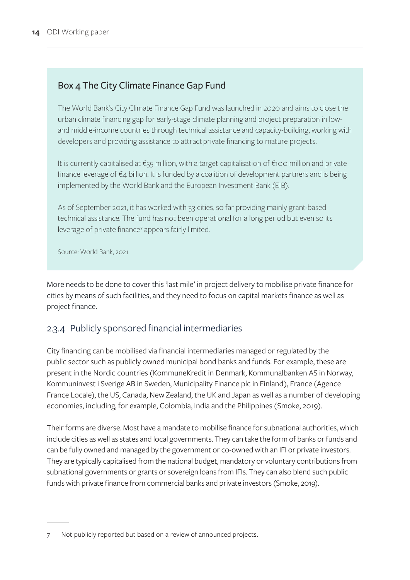## <span id="page-20-0"></span>Box 4 The City Climate Finance Gap Fund

The World Bank's City Climate Finance Gap Fund was launched in 2020 and aims to close the urban climate financing gap for early-stage climate planning and project preparation in lowand middle-income countries through technical assistance and capacity-building, working with developers and providing assistance to attract private financing to mature projects.

It is currently capitalised at €55 million, with a target capitalisation of €100 million and private finance leverage of  $\epsilon_4$  billion. It is funded by a coalition of development partners and is being implemented by the World Bank and the European Investment Bank (EIB).

As of September 2021, it has worked with 33 cities, so far providing mainly grant-based technical assistance. The fund has not been operational for a long period but even so its leverage of private finance<sup>7</sup> appears fairly limited.

Source: World Bank, 2021

More needs to be done to cover this 'last mile' in project delivery to mobilise private finance for cities by means of such facilities, and they need to focus on capital markets finance as well as project finance.

#### 2.3.4 Publicly sponsored financial intermediaries

City financing can be mobilised via financial intermediaries managed or regulated by the public sector such as publicly owned municipal bond banks and funds. For example, these are present in the Nordic countries (KommuneKredit in Denmark, Kommunalbanken AS in Norway, Kommuninvest i Sverige AB in Sweden, Municipality Finance plc in Finland), France (Agence France Locale), the US, Canada, New Zealand, the UK and Japan as well as a number of developing economies, including, for example, Colombia, India and the Philippines (Smoke, 2019).

Their forms are diverse. Most have a mandate to mobilise finance for subnational authorities, which include cities as well as states and local governments. They can take the form of banks or funds and can be fully owned and managed by the government or co-owned with an IFI or private investors. They are typically capitalised from the national budget, mandatory or voluntary contributions from subnational governments or grants or sovereign loans from IFIs. They can also blend such public funds with private finance from commercial banks and private investors (Smoke, 2019).

Not publicly reported but based on a review of announced projects.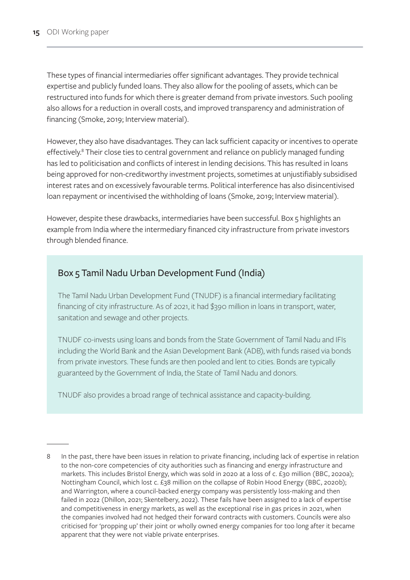<span id="page-21-0"></span>These types of financial intermediaries offer significant advantages. They provide technical expertise and publicly funded loans. They also allow for the pooling of assets, which can be restructured into funds for which there is greater demand from private investors. Such pooling also allows for a reduction in overall costs, and improved transparency and administration of financing (Smoke, 2019; Interview material).

However, they also have disadvantages. They can lack sufficient capacity or incentives to operate effectively.<sup>8</sup> Their close ties to central government and reliance on publicly managed funding has led to politicisation and conflicts of interest in lending decisions. This has resulted in loans being approved for non-creditworthy investment projects, sometimes at unjustifiably subsidised interest rates and on excessively favourable terms. Political interference has also disincentivised loan repayment or incentivised the withholding of loans (Smoke, 2019; Interview material).

However, despite these drawbacks, intermediaries have been successful. Box 5 highlights an example from India where the intermediary financed city infrastructure from private investors through blended finance.

#### Box 5 Tamil Nadu Urban Development Fund (India)

The Tamil Nadu Urban Development Fund (TNUDF) is a financial intermediary facilitating financing of city infrastructure. As of 2021, it had \$390 million in loans in transport, water, sanitation and sewage and other projects.

TNUDF co-invests using loans and bonds from the State Government of Tamil Nadu and IFIs including the World Bank and the Asian Development Bank (ADB), with funds raised via bonds from private investors. These funds are then pooled and lent to cities. Bonds are typically guaranteed by the Government of India, the State of Tamil Nadu and donors.

TNUDF also provides a broad range of technical assistance and capacity-building.

<sup>8</sup> In the past, there have been issues in relation to private financing, including lack of expertise in relation to the non-core competencies of city authorities such as financing and energy infrastructure and markets. This includes Bristol Energy, which was sold in 2020 at a loss of c. £30 million (BBC, 2020a); Nottingham Council, which lost c. £38 million on the collapse of Robin Hood Energy (BBC, 2020b); and Warrington, where a council-backed energy company was persistently loss-making and then failed in 2022 (Dhillon, 2021; Skentelbery, 2022). These fails have been assigned to a lack of expertise and competitiveness in energy markets, as well as the exceptional rise in gas prices in 2021, when the companies involved had not hedged their forward contracts with customers. Councils were also criticised for 'propping up' their joint or wholly owned energy companies for too long after it became apparent that they were not viable private enterprises.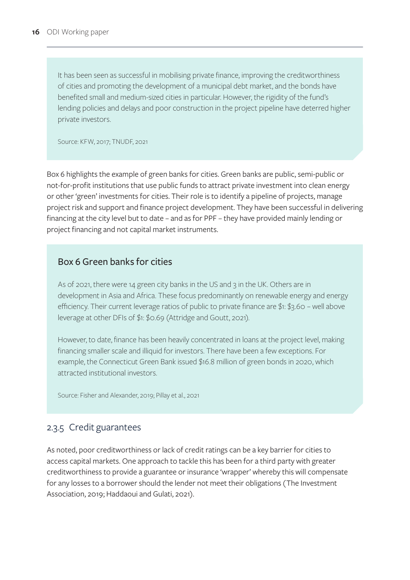<span id="page-22-0"></span>It has been seen as successful in mobilising private finance, improving the creditworthiness of cities and promoting the development of a municipal debt market, and the bonds have benefited small and medium-sized cities in particular. However, the rigidity of the fund's lending policies and delays and poor construction in the project pipeline have deterred higher private investors.

Source: KFW, 2017; TNUDF, 2021

Box 6 highlights the example of green banks for cities. Green banks are public, semi-public or not-for-profit institutions that use public funds to attract private investment into clean energy or other 'green' investments for cities. Their role is to identify a pipeline of projects, manage project risk and support and finance project development. They have been successful in delivering financing at the city level but to date – and as for PPF – they have provided mainly lending or project financing and not capital market instruments.

#### Box 6 Green banks for cities

As of 2021, there were 14 green city banks in the US and 3 in the UK. Others are in development in Asia and Africa. These focus predominantly on renewable energy and energy efficiency. Their current leverage ratios of public to private finance are \$1: \$3.60 – well above leverage at other DFIs of \$1: \$0.69 (Attridge and Goutt, 2021).

However, to date, finance has been heavily concentrated in loans at the project level, making financing smaller scale and illiquid for investors. There have been a few exceptions. For example, the Connecticut Green Bank issued \$16.8 million of green bonds in 2020, which attracted institutional investors.

Source: Fisher and Alexander, 2019; Pillay et al., 2021

#### 2.3.5 Credit guarantees

As noted, poor creditworthiness or lack of credit ratings can be a key barrier for cities to access capital markets. One approach to tackle this has been for a third party with greater creditworthiness to provide a guarantee or insurance 'wrapper' whereby this will compensate for any losses to a borrower should the lender not meet their obligations (The Investment Association, 2019; Haddaoui and Gulati, 2021).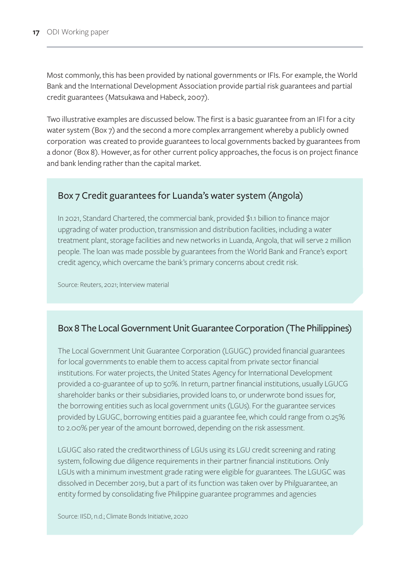<span id="page-23-0"></span>Most commonly, this has been provided by national governments or IFIs. For example, the World Bank and the International Development Association provide partial risk guarantees and partial credit guarantees (Matsukawa and Habeck, 2007).

Two illustrative examples are discussed below. The first is a basic guarantee from an IFI for a city water system (Box 7) and the second a more complex arrangement whereby a publicly owned corporation was created to provide guarantees to local governments backed by guarantees from a donor (Box 8). However, as for other current policy approaches, the focus is on project finance and bank lending rather than the capital market.

#### Box 7 Credit guarantees for Luanda's water system (Angola)

In 2021, Standard Chartered, the commercial bank, provided \$1.1 billion to finance major upgrading of water production, transmission and distribution facilities, including a water treatment plant, storage facilities and new networks in Luanda, Angola, that will serve 2 million people. The loan was made possible by guarantees from the World Bank and France's export credit agency, which overcame the bank's primary concerns about credit risk.

Source: Reuters, 2021; Interview material

#### Box 8 The Local Government Unit Guarantee Corporation (The Philippines)

The Local Government Unit Guarantee Corporation (LGUGC) provided financial guarantees for local governments to enable them to access capital from private sector financial institutions. For water projects, the United States Agency for International Development provided a co-guarantee of up to 50%. In return, partner financial institutions, usually LGUCG shareholder banks or their subsidiaries, provided loans to, or underwrote bond issues for, the borrowing entities such as local government units (LGUs). For the guarantee services provided by LGUGC, borrowing entities paid a guarantee fee, which could range from 0.25% to 2.00% per year of the amount borrowed, depending on the risk assessment.

LGUGC also rated the creditworthiness of LGUs using its LGU credit screening and rating system, following due diligence requirements in their partner financial institutions. Only LGUs with a minimum investment grade rating were eligible for guarantees. The LGUGC was dissolved in December 2019, but a part of its function was taken over by Philguarantee, an entity formed by consolidating five Philippine guarantee programmes and agencies

Source: IISD, n.d.; Climate Bonds Initiative, 2020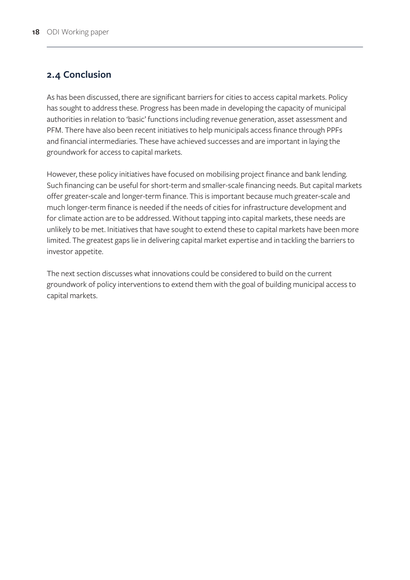#### <span id="page-24-0"></span>**2.4 Conclusion**

As has been discussed, there are significant barriers for cities to access capital markets. Policy has sought to address these. Progress has been made in developing the capacity of municipal authorities in relation to 'basic' functions including revenue generation, asset assessment and PFM. There have also been recent initiatives to help municipals access finance through PPFs and financial intermediaries. These have achieved successes and are important in laying the groundwork for access to capital markets.

However, these policy initiatives have focused on mobilising project finance and bank lending. Such financing can be useful for short-term and smaller-scale financing needs. But capital markets offer greater-scale and longer-term finance. This is important because much greater-scale and much longer-term finance is needed if the needs of cities for infrastructure development and for climate action are to be addressed. Without tapping into capital markets, these needs are unlikely to be met. Initiatives that have sought to extend these to capital markets have been more limited. The greatest gaps lie in delivering capital market expertise and in tackling the barriers to investor appetite.

The next section discusses what innovations could be considered to build on the current groundwork of policy interventions to extend them with the goal of building municipal access to capital markets.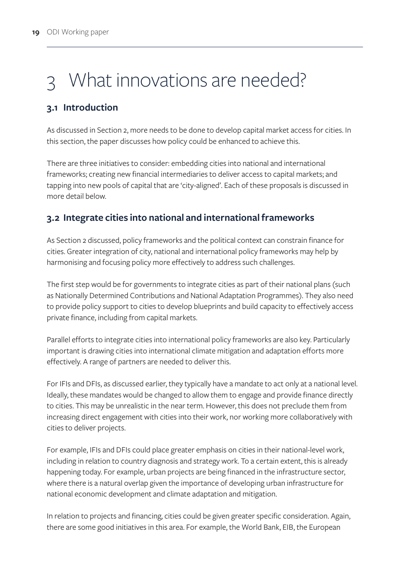# <span id="page-25-0"></span>What innovations are needed?

### **3.1 Introduction**

As discussed in Section 2, more needs to be done to develop capital market access for cities. In this section, the paper discusses how policy could be enhanced to achieve this.

There are three initiatives to consider: embedding cities into national and international frameworks; creating new financial intermediaries to deliver access to capital markets; and tapping into new pools of capital that are 'city-aligned'. Each of these proposals is discussed in more detail below.

### **3.2 Integrate cities into national and international frameworks**

As Section 2 discussed, policy frameworks and the political context can constrain finance for cities. Greater integration of city, national and international policy frameworks may help by harmonising and focusing policy more effectively to address such challenges.

The first step would be for governments to integrate cities as part of their national plans (such as Nationally Determined Contributions and National Adaptation Programmes). They also need to provide policy support to cities to develop blueprints and build capacity to effectively access private finance, including from capital markets.

Parallel efforts to integrate cities into international policy frameworks are also key. Particularly important is drawing cities into international climate mitigation and adaptation efforts more effectively. A range of partners are needed to deliver this.

For IFIs and DFIs, as discussed earlier, they typically have a mandate to act only at a national level. Ideally, these mandates would be changed to allow them to engage and provide finance directly to cities. This may be unrealistic in the near term. However, this does not preclude them from increasing direct engagement with cities into their work, nor working more collaboratively with cities to deliver projects.

For example, IFIs and DFIs could place greater emphasis on cities in their national-level work, including in relation to country diagnosis and strategy work. To a certain extent, this is already happening today. For example, urban projects are being financed in the infrastructure sector, where there is a natural overlap given the importance of developing urban infrastructure for national economic development and climate adaptation and mitigation.

In relation to projects and financing, cities could be given greater specific consideration. Again, there are some good initiatives in this area. For example, the World Bank, EIB, the European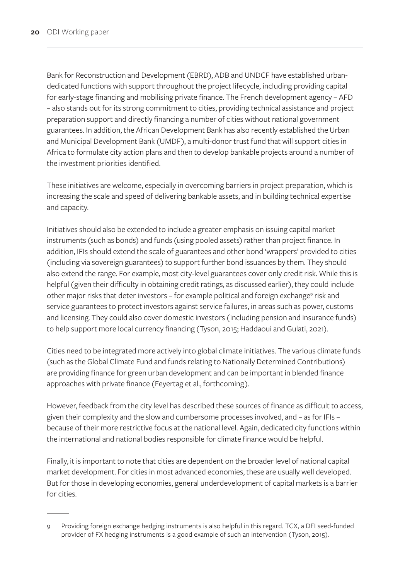Bank for Reconstruction and Development (EBRD), ADB and UNDCF have established urbandedicated functions with support throughout the project lifecycle, including providing capital for early-stage financing and mobilising private finance. The French development agency – AFD – also stands out for its strong commitment to cities, providing technical assistance and project preparation support and directly financing a number of cities without national government guarantees. In addition, the African Development Bank has also recently established the Urban and Municipal Development Bank (UMDF), a multi-donor trust fund that will support cities in Africa to formulate city action plans and then to develop bankable projects around a number of the investment priorities identified.

These initiatives are welcome, especially in overcoming barriers in project preparation, which is increasing the scale and speed of delivering bankable assets, and in building technical expertise and capacity.

Initiatives should also be extended to include a greater emphasis on issuing capital market instruments (such as bonds) and funds (using pooled assets) rather than project finance. In addition, IFIs should extend the scale of guarantees and other bond 'wrappers' provided to cities (including via sovereign guarantees) to support further bond issuances by them. They should also extend the range. For example, most city-level guarantees cover only credit risk. While this is helpful (given their difficulty in obtaining credit ratings, as discussed earlier), they could include other major risks that deter investors - for example political and foreign exchange<sup>9</sup> risk and service guarantees to protect investors against service failures, in areas such as power, customs and licensing. They could also cover domestic investors (including pension and insurance funds) to help support more local currency financing (Tyson, 2015; Haddaoui and Gulati, 2021).

Cities need to be integrated more actively into global climate initiatives. The various climate funds (such as the Global Climate Fund and funds relating to Nationally Determined Contributions) are providing finance for green urban development and can be important in blended finance approaches with private finance (Feyertag et al., forthcoming).

However, feedback from the city level has described these sources of finance as difficult to access, given their complexity and the slow and cumbersome processes involved, and – as for IFIs – because of their more restrictive focus at the national level. Again, dedicated city functions within the international and national bodies responsible for climate finance would be helpful.

Finally, it is important to note that cities are dependent on the broader level of national capital market development. For cities in most advanced economies, these are usually well developed. But for those in developing economies, general underdevelopment of capital markets is a barrier for cities.

<sup>9</sup> Providing foreign exchange hedging instruments is also helpful in this regard. TCX, a DFI seed-funded provider of FX hedging instruments is a good example of such an intervention (Tyson, 2015).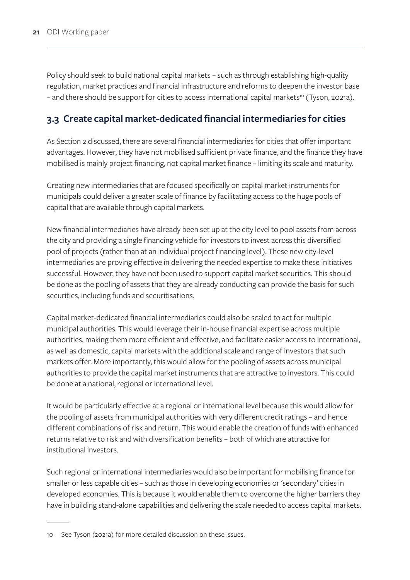<span id="page-27-0"></span>Policy should seek to build national capital markets – such as through establishing high-quality regulation, market practices and financial infrastructure and reforms to deepen the investor base – and there should be support for cities to access international capital markets<sup>10</sup> (Tyson, 2021a).

#### **3.3 Create capital market-dedicated financial intermediaries for cities**

As Section 2 discussed, there are several financial intermediaries for cities that offer important advantages. However, they have not mobilised sufficient private finance, and the finance they have mobilised is mainly project financing, not capital market finance – limiting its scale and maturity.

Creating new intermediaries that are focused specifically on capital market instruments for municipals could deliver a greater scale of finance by facilitating access to the huge pools of capital that are available through capital markets.

New financial intermediaries have already been set up at the city level to pool assets from across the city and providing a single financing vehicle for investors to invest across this diversified pool of projects (rather than at an individual project financing level). These new city-level intermediaries are proving effective in delivering the needed expertise to make these initiatives successful. However, they have not been used to support capital market securities. This should be done as the pooling of assets that they are already conducting can provide the basis for such securities, including funds and securitisations.

Capital market-dedicated financial intermediaries could also be scaled to act for multiple municipal authorities. This would leverage their in-house financial expertise across multiple authorities, making them more efficient and effective, and facilitate easier access to international, as well as domestic, capital markets with the additional scale and range of investors that such markets offer. More importantly, this would allow for the pooling of assets across municipal authorities to provide the capital market instruments that are attractive to investors. This could be done at a national, regional or international level.

It would be particularly effective at a regional or international level because this would allow for the pooling of assets from municipal authorities with very different credit ratings – and hence different combinations of risk and return. This would enable the creation of funds with enhanced returns relative to risk and with diversification benefits – both of which are attractive for institutional investors.

Such regional or international intermediaries would also be important for mobilising finance for smaller or less capable cities – such as those in developing economies or 'secondary' cities in developed economies. This is because it would enable them to overcome the higher barriers they have in building stand-alone capabilities and delivering the scale needed to access capital markets.

<sup>10</sup> See Tyson (2021a) for more detailed discussion on these issues.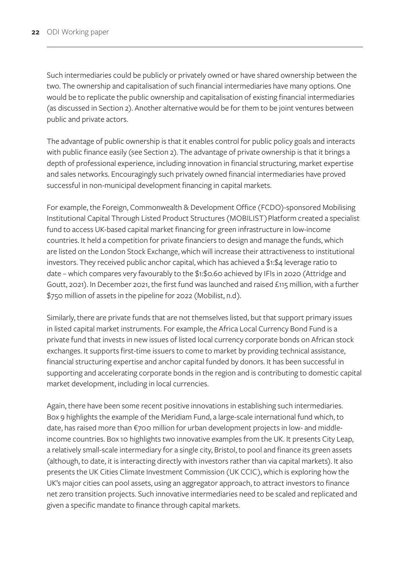Such intermediaries could be publicly or privately owned or have shared ownership between the two. The ownership and capitalisation of such financial intermediaries have many options. One would be to replicate the public ownership and capitalisation of existing financial intermediaries (as discussed in Section 2). Another alternative would be for them to be joint ventures between public and private actors.

The advantage of public ownership is that it enables control for public policy goals and interacts with public finance easily (see Section 2). The advantage of private ownership is that it brings a depth of professional experience, including innovation in financial structuring, market expertise and sales networks. Encouragingly such privately owned financial intermediaries have proved successful in non-municipal development financing in capital markets.

For example, the Foreign, Commonwealth & Development Office (FCDO)-sponsored Mobilising Institutional Capital Through Listed Product Structures (MOBILIST) Platform created a specialist fund to access UK-based capital market financing for green infrastructure in low-income countries. It held a competition for private financiers to design and manage the funds, which are listed on the London Stock Exchange, which will increase their attractiveness to institutional investors. They received public anchor capital, which has achieved a \$1:\$4 leverage ratio to date – which compares very favourably to the \$1:\$0.60 achieved by IFIs in 2020 (Attridge and Goutt, 2021). In December 2021, the first fund was launched and raised £115 million, with a further \$750 million of assets in the pipeline for 2022 (Mobilist, n.d).

Similarly, there are private funds that are not themselves listed, but that support primary issues in listed capital market instruments. For example, the Africa Local Currency Bond Fund is a private fund that invests in new issues of listed local currency corporate bonds on African stock exchanges. It supports first-time issuers to come to market by providing technical assistance, financial structuring expertise and anchor capital funded by donors. It has been successful in supporting and accelerating corporate bonds in the region and is contributing to domestic capital market development, including in local currencies.

Again, there have been some recent positive innovations in establishing such intermediaries. Box 9 highlights the example of the Meridiam Fund, a large-scale international fund which, to date, has raised more than €700 million for urban development projects in low- and middleincome countries. Box 10 highlights two innovative examples from the UK. It presents City Leap, a relatively small-scale intermediary for a single city, Bristol, to pool and finance its green assets (although, to date, it is interacting directly with investors rather than via capital markets). It also presents the UK Cities Climate Investment Commission (UK CCIC), which is exploring how the UK's major cities can pool assets, using an aggregator approach, to attract investors to finance net zero transition projects. Such innovative intermediaries need to be scaled and replicated and given a specific mandate to finance through capital markets.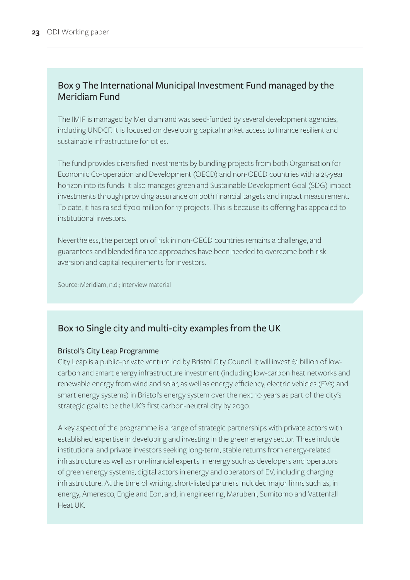#### <span id="page-29-0"></span>Box 9 The International Municipal Investment Fund managed by the Meridiam Fund

The IMIF is managed by Meridiam and was seed-funded by several development agencies, including UNDCF. It is focused on developing capital market access to finance resilient and sustainable infrastructure for cities.

The fund provides diversified investments by bundling projects from both Organisation for Economic Co-operation and Development (OECD) and non-OECD countries with a 25-year horizon into its funds. It also manages green and Sustainable Development Goal (SDG) impact investments through providing assurance on both financial targets and impact measurement. To date, it has raised €700 million for 17 projects. This is because its offering has appealed to institutional investors.

Nevertheless, the perception of risk in non-OECD countries remains a challenge, and guarantees and blended finance approaches have been needed to overcome both risk aversion and capital requirements for investors.

Source: Meridiam, n.d.; Interview material

#### Box 10 Single city and multi-city examples from the UK

#### Bristol's City Leap Programme

City Leap is a public–private venture led by Bristol City Council. It will invest £1 billion of lowcarbon and smart energy infrastructure investment (including low-carbon heat networks and renewable energy from wind and solar, as well as energy efficiency, electric vehicles (EVs) and smart energy systems) in Bristol's energy system over the next 10 years as part of the city's strategic goal to be the UK's first carbon-neutral city by 2030.

A key aspect of the programme is a range of strategic partnerships with private actors with established expertise in developing and investing in the green energy sector. These include institutional and private investors seeking long-term, stable returns from energy-related infrastructure as well as non-financial experts in energy such as developers and operators of green energy systems, digital actors in energy and operators of EV, including charging infrastructure. At the time of writing, short-listed partners included major firms such as, in energy, Ameresco, Engie and Eon, and, in engineering, Marubeni, Sumitomo and Vattenfall Heat UK.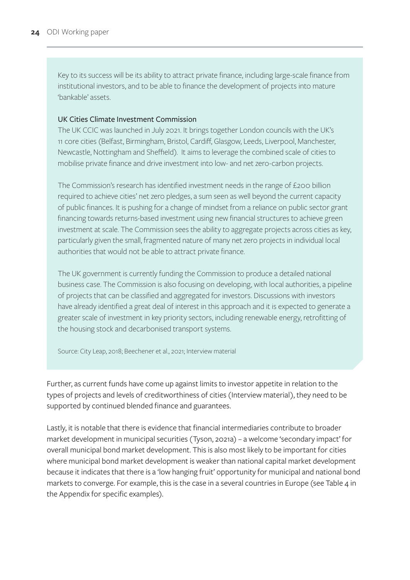Key to its success will be its ability to attract private finance, including large-scale finance from institutional investors, and to be able to finance the development of projects into mature 'bankable' assets.

#### UK Cities Climate Investment Commission

The UK CCIC was launched in July 2021. It brings together London councils with the UK's 11 core cities (Belfast, Birmingham, Bristol, Cardiff, Glasgow, Leeds, Liverpool, Manchester, Newcastle, Nottingham and Sheffield). It aims to leverage the combined scale of cities to mobilise private finance and drive investment into low- and net zero-carbon projects.

The Commission's research has identified investment needs in the range of £200 billion required to achieve cities' net zero pledges, a sum seen as well beyond the current capacity of public finances. It is pushing for a change of mindset from a reliance on public sector grant financing towards returns-based investment using new financial structures to achieve green investment at scale. The Commission sees the ability to aggregate projects across cities as key, particularly given the small, fragmented nature of many net zero projects in individual local authorities that would not be able to attract private finance.

The UK government is currently funding the Commission to produce a detailed national business case. The Commission is also focusing on developing, with local authorities, a pipeline of projects that can be classified and aggregated for investors. Discussions with investors have already identified a great deal of interest in this approach and it is expected to generate a greater scale of investment in key priority sectors, including renewable energy, retrofitting of the housing stock and decarbonised transport systems.

Source: City Leap, 2018; Beechener et al., 2021; Interview material

Further, as current funds have come up against limits to investor appetite in relation to the types of projects and levels of creditworthiness of cities (Interview material), they need to be supported by continued blended finance and guarantees.

Lastly, it is notable that there is evidence that financial intermediaries contribute to broader market development in municipal securities (Tyson, 2021a) – a welcome 'secondary impact' for overall municipal bond market development. This is also most likely to be important for cities where municipal bond market development is weaker than national capital market development because it indicates that there is a 'low hanging fruit' opportunity for municipal and national bond markets to converge. For example, this is the case in a several countries in Europe (see Table 4 in the Appendix for specific examples).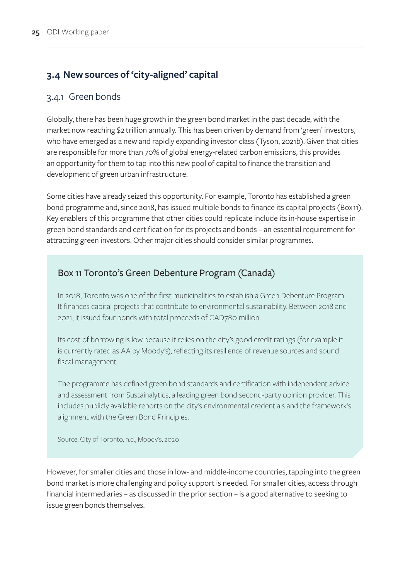#### <span id="page-31-0"></span>**3.4 New sources of 'city-aligned' capital**

#### 3.4.1 Green bonds

Globally, there has been huge growth in the green bond market in the past decade, with the market now reaching \$2 trillion annually. This has been driven by demand from 'green' investors, who have emerged as a new and rapidly expanding investor class (Tyson, 2021b). Given that cities are responsible for more than 70% of global energy-related carbon emissions, this provides an opportunity for them to tap into this new pool of capital to finance the transition and development of green urban infrastructure.

Some cities have already seized this opportunity. For example, Toronto has established a green bond programme and, since 2018, has issued multiple bonds to finance its capital projects (Box 11). Key enablers of this programme that other cities could replicate include its in-house expertise in green bond standards and certification for its projects and bonds – an essential requirement for attracting green investors. Other major cities should consider similar programmes.

#### Box 11 Toronto's Green Debenture Program (Canada)

In 2018, Toronto was one of the first municipalities to establish a Green Debenture Program. It finances capital projects that contribute to environmental sustainability. Between 2018 and 2021, it issued four bonds with total proceeds of CAD780 million.

Its cost of borrowing is low because it relies on the city's good credit ratings (for example it is currently rated as AA by Moody's), reflecting its resilience of revenue sources and sound fiscal management.

The programme has defined green bond standards and certification with independent advice and assessment from Sustainalytics, a leading green bond second-party opinion provider. This includes publicly available reports on the city's environmental credentials and the framework's alignment with the Green Bond Principles.

Source: City of Toronto, n.d.; Moody's, 2020

However, for smaller cities and those in low- and middle-income countries, tapping into the green bond market is more challenging and policy support is needed. For smaller cities, access through financial intermediaries – as discussed in the prior section – is a good alternative to seeking to issue green bonds themselves.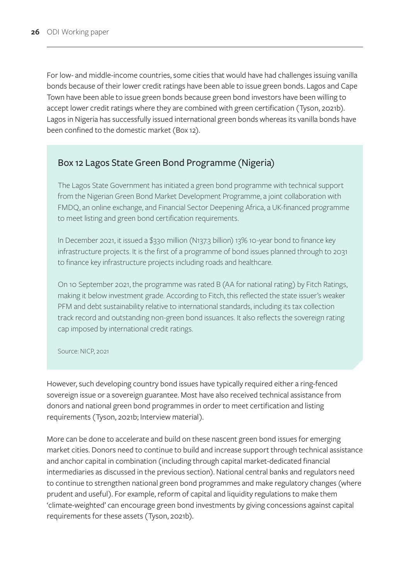<span id="page-32-0"></span>For low- and middle-income countries, some cities that would have had challenges issuing vanilla bonds because of their lower credit ratings have been able to issue green bonds. Lagos and Cape Town have been able to issue green bonds because green bond investors have been willing to accept lower credit ratings where they are combined with green certification (Tyson, 2021b). Lagos in Nigeria has successfully issued international green bonds whereas its vanilla bonds have been confined to the domestic market (Box 12).

#### Box 12 Lagos State Green Bond Programme (Nigeria)

The Lagos State Government has initiated a green bond programme with technical support from the Nigerian Green Bond Market Development Programme, a joint collaboration with FMDQ, an online exchange, and Financial Sector Deepening Africa, a UK-financed programme to meet listing and green bond certification requirements.

In December 2021, it issued a \$330 million (N137.3 billion) 13% 10-year bond to finance key infrastructure projects. It is the first of a programme of bond issues planned through to 2031 to finance key infrastructure projects including roads and healthcare.

On 10 September 2021, the programme was rated B (AA for national rating) by Fitch Ratings, making it below investment grade. According to Fitch, this reflected the state issuer's weaker PFM and debt sustainability relative to international standards, including its tax collection track record and outstanding non-green bond issuances. It also reflects the sovereign rating cap imposed by international credit ratings.

Source: NICP, 2021

However, such developing country bond issues have typically required either a ring-fenced sovereign issue or a sovereign guarantee. Most have also received technical assistance from donors and national green bond programmes in order to meet certification and listing requirements (Tyson, 2021b; Interview material).

More can be done to accelerate and build on these nascent green bond issues for emerging market cities. Donors need to continue to build and increase support through technical assistance and anchor capital in combination (including through capital market-dedicated financial intermediaries as discussed in the previous section). National central banks and regulators need to continue to strengthen national green bond programmes and make regulatory changes (where prudent and useful). For example, reform of capital and liquidity regulations to make them 'climate-weighted' can encourage green bond investments by giving concessions against capital requirements for these assets (Tyson, 2021b).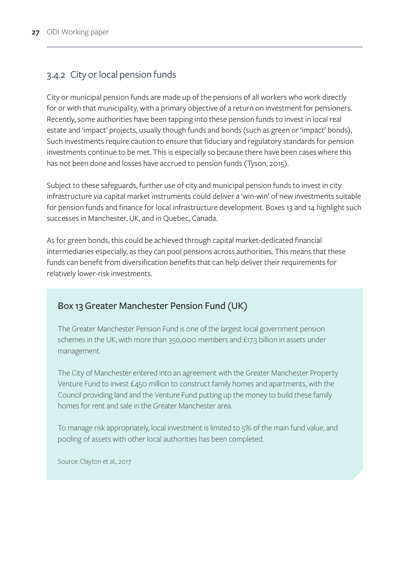## <span id="page-33-0"></span>3.4.2 City or local pension funds

City or municipal pension funds are made up of the pensions of all workers who work directly for or with that municipality, with a primary objective of a return on investment for pensioners. Recently, some authorities have been tapping into these pension funds to invest in local real estate and 'impact' projects, usually though funds and bonds (such as green or 'impact' bonds), Such investments require caution to ensure that fiduciary and regulatory standards for pension investments continue to be met. This is especially so because there have been cases where this has not been done and losses have accrued to pension funds (Tyson, 2015).

Subject to these safeguards, further use of city and municipal pension funds to invest in city infrastructure via capital market instruments could deliver a 'win-win' of new investments suitable for pension funds and finance for local infrastructure development. Boxes 13 and 14 highlight such successes in Manchester, UK, and in Quebec, Canada.

As for green bonds, this could be achieved through capital market-dedicated financial intermediaries especially, as they can pool pensions across authorities. This means that these funds can benefit from diversification benefits that can help deliver their requirements for relatively lower-risk investments.

#### Box 13 Greater Manchester Pension Fund (UK)

The Greater Manchester Pension Fund is one of the largest local government pension schemes in the UK, with more than 350,000 members and £17.3 billion in assets under management.

The City of Manchester entered into an agreement with the Greater Manchester Property Venture Fund to invest £450 million to construct family homes and apartments, with the Council providing land and the Venture Fund putting up the money to build these family homes for rent and sale in the Greater Manchester area.

To manage risk appropriately, local investment is limited to 5% of the main fund value, and pooling of assets with other local authorities has been completed.

Source: Clayton et al., 2017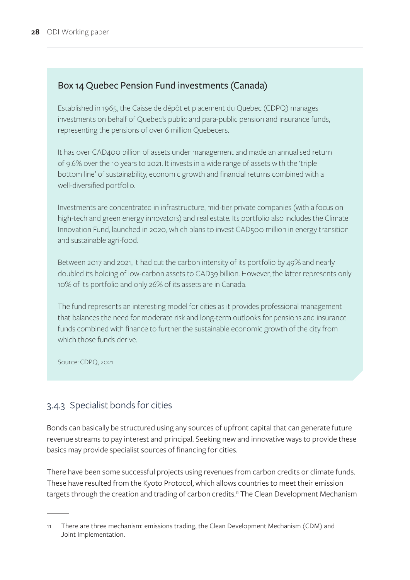#### <span id="page-34-0"></span>Box 14 Quebec Pension Fund investments (Canada)

Established in 1965, the Caisse de dépôt et placement du Quebec (CDPQ) manages investments on behalf of Quebec's public and para-public pension and insurance funds, representing the pensions of over 6 million Quebecers.

It has over CAD400 billion of assets under management and made an annualised return of 9.6% over the 10 years to 2021. It invests in a wide range of assets with the 'triple bottom line' of sustainability, economic growth and financial returns combined with a well-diversified portfolio.

Investments are concentrated in infrastructure, mid-tier private companies (with a focus on high-tech and green energy innovators) and real estate. Its portfolio also includes the Climate Innovation Fund, launched in 2020, which plans to invest CAD500 million in energy transition and sustainable agri-food.

Between 2017 and 2021, it had cut the carbon intensity of its portfolio by 49% and nearly doubled its holding of low-carbon assets to CAD39 billion. However, the latter represents only 10% of its portfolio and only 26% of its assets are in Canada.

The fund represents an interesting model for cities as it provides professional management that balances the need for moderate risk and long-term outlooks for pensions and insurance funds combined with finance to further the sustainable economic growth of the city from which those funds derive.

Source: CDPQ, 2021

#### 3.4.3 Specialist bonds for cities

Bonds can basically be structured using any sources of upfront capital that can generate future revenue streams to pay interest and principal. Seeking new and innovative ways to provide these basics may provide specialist sources of financing for cities.

There have been some successful projects using revenues from carbon credits or climate funds. These have resulted from the Kyoto Protocol, which allows countries to meet their emission targets through the creation and trading of carbon credits.<sup>11</sup> The Clean Development Mechanism

<sup>11</sup> There are three mechanism: emissions trading, the Clean Development Mechanism (CDM) and Joint Implementation.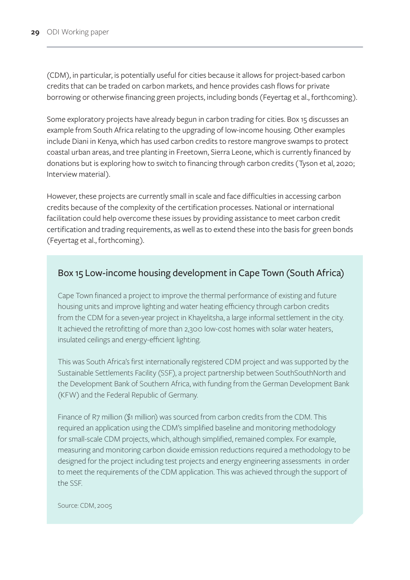<span id="page-35-0"></span>(CDM), in particular, is potentially useful for cities because it allows for project-based carbon credits that can be traded on carbon markets, and hence provides cash flows for private borrowing or otherwise financing green projects, including bonds (Feyertag et al., forthcoming).

Some exploratory projects have already begun in carbon trading for cities. Box 15 discusses an example from South Africa relating to the upgrading of low-income housing. Other examples include Diani in Kenya, which has used carbon credits to restore mangrove swamps to protect coastal urban areas, and tree planting in Freetown, Sierra Leone, which is currently financed by donations but is exploring how to switch to financing through carbon credits (Tyson et al, 2020; Interview material).

However, these projects are currently small in scale and face difficulties in accessing carbon credits because of the complexity of the certification processes. National or international facilitation could help overcome these issues by providing assistance to meet carbon credit certification and trading requirements, as well as to extend these into the basis for green bonds (Feyertag et al., forthcoming).

#### Box 15 Low-income housing development in Cape Town (South Africa)

Cape Town financed a project to improve the thermal performance of existing and future housing units and improve lighting and water heating efficiency through carbon credits from the CDM for a seven-year project in Khayelitsha, a large informal settlement in the city. It achieved the retrofitting of more than 2,300 low-cost homes with solar water heaters, insulated ceilings and energy-efficient lighting.

This was South Africa's first internationally registered CDM project and was supported by the Sustainable Settlements Facility (SSF), a project partnership between SouthSouthNorth and the Development Bank of Southern Africa, with funding from the German Development Bank (KFW) and the Federal Republic of Germany.

Finance of R7 million (\$1 million) was sourced from carbon credits from the CDM. This required an application using the CDM's simplified baseline and monitoring methodology for small-scale CDM projects, which, although simplified, remained complex. For example, measuring and monitoring carbon dioxide emission reductions required a methodology to be designed for the project including test projects and energy engineering assessments in order to meet the requirements of the CDM application. This was achieved through the support of the SSF.

Source: CDM, 2005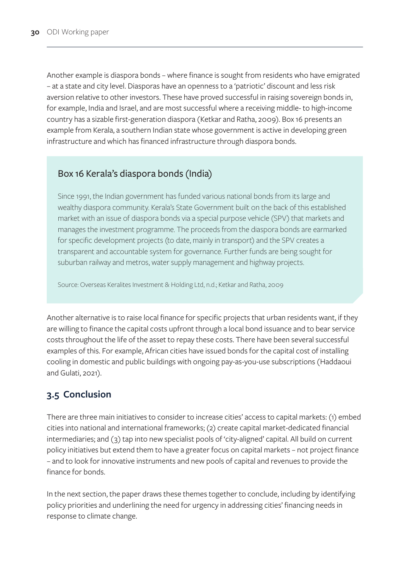<span id="page-36-0"></span>Another example is diaspora bonds – where finance is sought from residents who have emigrated – at a state and city level. Diasporas have an openness to a 'patriotic' discount and less risk aversion relative to other investors. These have proved successful in raising sovereign bonds in, for example, India and Israel, and are most successful where a receiving middle- to high-income country has a sizable first-generation diaspora (Ketkar and Ratha, 2009). Box 16 presents an example from Kerala, a southern Indian state whose government is active in developing green infrastructure and which has financed infrastructure through diaspora bonds.

#### Box 16 Kerala's diaspora bonds (India)

Since 1991, the Indian government has funded various national bonds from its large and wealthy diaspora community. Kerala's State Government built on the back of this established market with an issue of diaspora bonds via a special purpose vehicle (SPV) that markets and manages the investment programme. The proceeds from the diaspora bonds are earmarked for specific development projects (to date, mainly in transport) and the SPV creates a transparent and accountable system for governance. Further funds are being sought for suburban railway and metros, water supply management and highway projects.

Source: Overseas Keralites Investment & Holding Ltd, n.d.; Ketkar and Ratha, 2009

Another alternative is to raise local finance for specific projects that urban residents want, if they are willing to finance the capital costs upfront through a local bond issuance and to bear service costs throughout the life of the asset to repay these costs. There have been several successful examples of this. For example, African cities have issued bonds for the capital cost of installing cooling in domestic and public buildings with ongoing pay-as-you-use subscriptions (Haddaoui and Gulati, 2021).

## **3.5 Conclusion**

There are three main initiatives to consider to increase cities' access to capital markets: (1) embed cities into national and international frameworks; (2) create capital market-dedicated financial intermediaries; and (3) tap into new specialist pools of 'city-aligned' capital. All build on current policy initiatives but extend them to have a greater focus on capital markets – not project finance – and to look for innovative instruments and new pools of capital and revenues to provide the finance for bonds.

In the next section, the paper draws these themes together to conclude, including by identifying policy priorities and underlining the need for urgency in addressing cities' financing needs in response to climate change.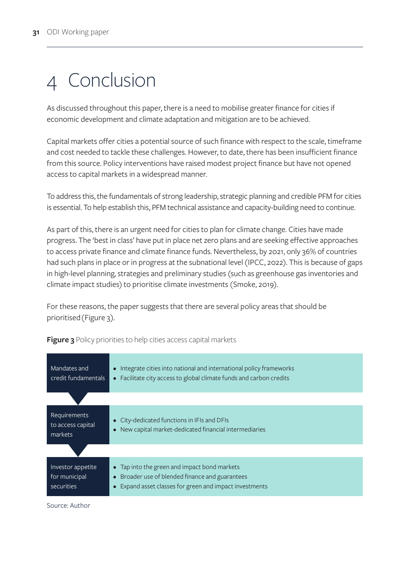# <span id="page-37-0"></span>4 Conclusion

As discussed throughout this paper, there is a need to mobilise greater finance for cities if economic development and climate adaptation and mitigation are to be achieved.

Capital markets offer cities a potential source of such finance with respect to the scale, timeframe and cost needed to tackle these challenges. However, to date, there has been insufficient finance from this source. Policy interventions have raised modest project finance but have not opened access to capital markets in a widespread manner.

To address this, the fundamentals of strong leadership, strategic planning and credible PFM for cities is essential. To help establish this, PFM technical assistance and capacity-building need to continue.

As part of this, there is an urgent need for cities to plan for climate change. Cities have made progress. The 'best in class' have put in place net zero plans and are seeking effective approaches to access private finance and climate finance funds. Nevertheless, by 2021, only 36% of countries had such plans in place or in progress at the subnational level (IPCC, 2022). This is because of gaps in high-level planning, strategies and preliminary studies (such as greenhouse gas inventories and climate impact studies) to prioritise climate investments (Smoke, 2019).

For these reasons, the paper suggests that there are several policy areas that should be prioritised (Figure 3).

| Mandates and<br>credit fundamentals              | • Integrate cities into national and international policy frameworks<br>• Facilitate city access to global climate funds and carbon credits                |
|--------------------------------------------------|------------------------------------------------------------------------------------------------------------------------------------------------------------|
|                                                  |                                                                                                                                                            |
| Requirements<br>to access capital<br>markets     | • City-dedicated functions in IFIs and DFIs<br>• New capital market-dedicated financial intermediaries                                                     |
|                                                  |                                                                                                                                                            |
| Investor appetite<br>for municipal<br>securities | • Tap into the green and impact bond markets<br>• Broader use of blended finance and guarantees<br>• Expand asset classes for green and impact investments |

**Figure 3** Policy priorities to help cities access capital markets

Source: Author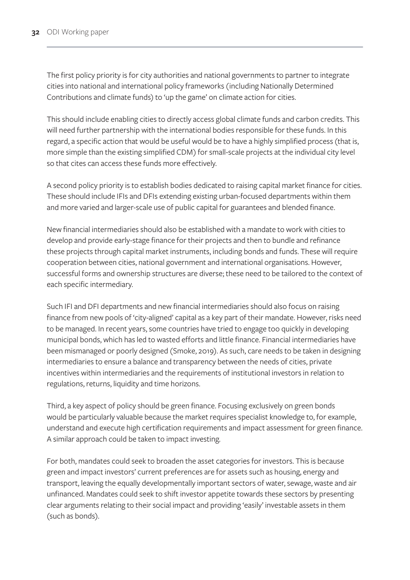The first policy priority is for city authorities and national governments to partner to integrate cities into national and international policy frameworks (including Nationally Determined Contributions and climate funds) to 'up the game' on climate action for cities.

This should include enabling cities to directly access global climate funds and carbon credits. This will need further partnership with the international bodies responsible for these funds. In this regard, a specific action that would be useful would be to have a highly simplified process (that is, more simple than the existing simplified CDM) for small-scale projects at the individual city level so that cites can access these funds more effectively.

A second policy priority is to establish bodies dedicated to raising capital market finance for cities. These should include IFIs and DFIs extending existing urban-focused departments within them and more varied and larger-scale use of public capital for guarantees and blended finance.

New financial intermediaries should also be established with a mandate to work with cities to develop and provide early-stage finance for their projects and then to bundle and refinance these projects through capital market instruments, including bonds and funds. These will require cooperation between cities, national government and international organisations. However, successful forms and ownership structures are diverse; these need to be tailored to the context of each specific intermediary.

Such IFI and DFI departments and new financial intermediaries should also focus on raising finance from new pools of 'city-aligned' capital as a key part of their mandate. However, risks need to be managed. In recent years, some countries have tried to engage too quickly in developing municipal bonds, which has led to wasted efforts and little finance. Financial intermediaries have been mismanaged or poorly designed (Smoke, 2019). As such, care needs to be taken in designing intermediaries to ensure a balance and transparency between the needs of cities, private incentives within intermediaries and the requirements of institutional investors in relation to regulations, returns, liquidity and time horizons.

Third, a key aspect of policy should be green finance. Focusing exclusively on green bonds would be particularly valuable because the market requires specialist knowledge to, for example, understand and execute high certification requirements and impact assessment for green finance. A similar approach could be taken to impact investing.

For both, mandates could seek to broaden the asset categories for investors. This is because green and impact investors' current preferences are for assets such as housing, energy and transport, leaving the equally developmentally important sectors of water, sewage, waste and air unfinanced. Mandates could seek to shift investor appetite towards these sectors by presenting clear arguments relating to their social impact and providing 'easily' investable assets in them (such as bonds).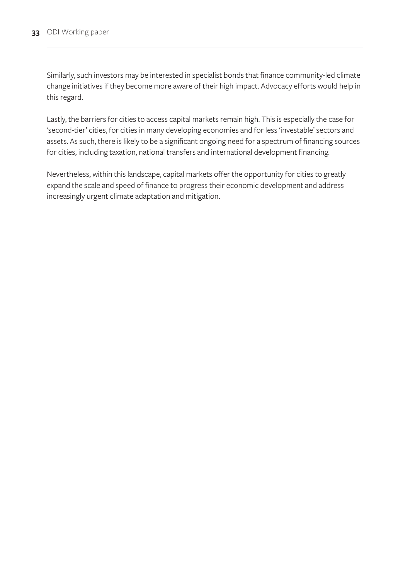Similarly, such investors may be interested in specialist bonds that finance community-led climate change initiatives if they become more aware of their high impact. Advocacy efforts would help in this regard.

Lastly, the barriers for cities to access capital markets remain high. This is especially the case for 'second-tier' cities, for cities in many developing economies and for less 'investable' sectors and assets. As such, there is likely to be a significant ongoing need for a spectrum of financing sources for cities, including taxation, national transfers and international development financing.

Nevertheless, within this landscape, capital markets offer the opportunity for cities to greatly expand the scale and speed of finance to progress their economic development and address increasingly urgent climate adaptation and mitigation.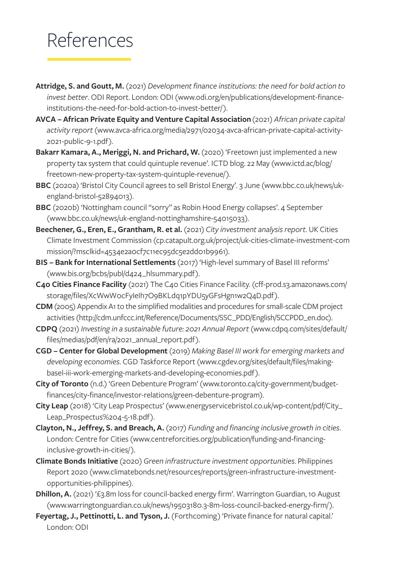# <span id="page-40-0"></span>References

- **Attridge, S. and Goutt, M.** (2021) *Development finance institutions: the need for bold action to invest better*. ODI Report. London: ODI [\(www.odi.org/en/publications/development-finance](http://www.odi.org/en/publications/development-finance-institutions-the-need-for-bold-action-to-invest-better/)[institutions-the-need-for-bold-action-to-invest-better/](http://www.odi.org/en/publications/development-finance-institutions-the-need-for-bold-action-to-invest-better/)).
- **AVCA African Private Equity and Venture Capital Association** (2021) *African private capital activity report* ([www.avca-africa.org/media/2971/02034-avca-african-private-capital-activity-](http://www.avca-africa.org/media/2971/02034-avca-african-private-capital-activity-2021-public-9-1.pdf)[2021-public-9-1.pdf](http://www.avca-africa.org/media/2971/02034-avca-african-private-capital-activity-2021-public-9-1.pdf)).
- **Bakarr Kamara, A., Meriggi, N. and Prichard, W.** (2020) 'Freetown just implemented a new property tax system that could quintuple revenue'. ICTD blog. 22 May [\(www.ictd.ac/blog/](http://www.ictd.ac/blog/freetown-new-property-tax-system-quintuple-revenue/) [freetown-new-property-tax-system-quintuple-revenue/\)](http://www.ictd.ac/blog/freetown-new-property-tax-system-quintuple-revenue/).
- **BBC** (2020a) 'Bristol City Council agrees to sell Bristol Energy'. 3 June [\(www.bbc.co.uk/news/uk](http://www.bbc.co.uk/news/uk-england-bristol-52894013)[england-bristol-52894013](http://www.bbc.co.uk/news/uk-england-bristol-52894013)).
- **BBC** (2020b) 'Nottingham council "sorry" as Robin Hood Energy collapses'. 4 September [\(www.bbc.co.uk/news/uk-england-nottinghamshire-54015033\)](http://www.bbc.co.uk/news/uk-england-nottinghamshire-54015033).
- **Beechener, G., Eren, E., Grantham, R. et al.** (2021) *City investment analysis report*. UK Cities Climate Investment Commission ([cp.catapult.org.uk/project/uk-cities-climate-investment-com](https://cp.catapult.org.uk/project/uk-cities-climate-investment-commission/?msclkid=4534e2a0cf7c11ec95dc5e2dd01b9961) [mission/?msclkid=4534e2a0cf7c11ec95dc5e2dd01b9961](https://cp.catapult.org.uk/project/uk-cities-climate-investment-commission/?msclkid=4534e2a0cf7c11ec95dc5e2dd01b9961)).
- **BIS Bank for International Settlements** (2017) 'High-level summary of Basel III reforms' [\(www.bis.org/bcbs/publ/d424\\_hlsummary.pdf\)](http://www.bis.org/bcbs/publ/d424_hlsummary.pdf).
- **C40 Cities Finance Facility** (2021) The C40 Cities Finance Facility. [\(cff-prod.s3.amazonaws.com/](http://cff-prod.s3.amazonaws.com/storage/files/XcWwW0cFyIeIh7O9BKLdq1pYDU5yGFsHgn1w2Q4D.pdf) [storage/files/XcWwW0cFyIeIh7O9BKLdq1pYDU5yGFsHgn1w2Q4D.pdf\)](http://cff-prod.s3.amazonaws.com/storage/files/XcWwW0cFyIeIh7O9BKLdq1pYDU5yGFsHgn1w2Q4D.pdf).
- **CDM** (2005) Appendix A1 to the simplified modalities and procedures for small-scale CDM project activities ([http://cdm.unfccc.int/Reference/Documents/SSC\\_PDD/English/SCCPDD\\_en.doc](http://cdm.unfccc.int/Reference/Documents/SSC_PDD/English/SCCPDD_en.doc)).
- **CDPQ** (2021) *Investing in a sustainable future: 2021 Annual Report* [\(www.cdpq.com/sites/default/](http://www.cdpq.com/sites/default/files/medias/pdf/en/ra/2021_annual_report.pdf) [files/medias/pdf/en/ra/2021\\_annual\\_report.pdf](http://www.cdpq.com/sites/default/files/medias/pdf/en/ra/2021_annual_report.pdf)).
- **CGD Center for Global Development** (2019) *Making Basel III work for emerging markets and developing economies*. CGD Taskforce Report [\(www.cgdev.org/sites/default/files/making](http://www.cgdev.org/sites/default/files/making-basel-iii-work-emerging-markets-and-developing-economies.pdf)[basel-iii-work-emerging-markets-and-developing-economies.pdf\)](http://www.cgdev.org/sites/default/files/making-basel-iii-work-emerging-markets-and-developing-economies.pdf).
- **City of Toronto** (n.d.) 'Green Debenture Program' ([www.toronto.ca/city-government/budget](http://www.toronto.ca/city-government/budget-finances/city-finance/investor-relations/green-debenture-program)[finances/city-finance/investor-relations/green-debenture-program](http://www.toronto.ca/city-government/budget-finances/city-finance/investor-relations/green-debenture-program)).
- **City Leap** (2018) 'City Leap Prospectus' ([www.energyservicebristol.co.uk/wp-content/pdf/City\\_](http://www.energyservicebristol.co.uk/wp-content/pdf/City_Leap_Prospectus%204-5-18.pdf) [Leap\\_Prospectus%204-5-18.pdf](http://www.energyservicebristol.co.uk/wp-content/pdf/City_Leap_Prospectus%204-5-18.pdf)).
- **Clayton, N., Jeffrey, S. and Breach, A.** (2017) *Funding and financing inclusive growth in cities*. London: Centre for Cities [\(www.centreforcities.org/publication/funding-and-financing](http://www.centreforcities.org/publication/funding-and-financing-inclusive-growth-in-cities/)[inclusive-growth-in-cities/](http://www.centreforcities.org/publication/funding-and-financing-inclusive-growth-in-cities/)).
- **Climate Bonds Initiative** (2020) *Green infrastructure investment opportunities*. Philippines Report 2020 [\(www.climatebonds.net/resources/reports/green-infrastructure-investment](http://www.climatebonds.net/resources/reports/green-infrastructure-investment-opportunities-philippines)[opportunities-philippines](http://www.climatebonds.net/resources/reports/green-infrastructure-investment-opportunities-philippines)).
- **Dhillon, A.** (2021) '£3.8m loss for council-backed energy firm'. Warrington Guardian, 10 August [\(www.warringtonguardian.co.uk/news/19503180.3-8m-loss-council-backed-energy-firm/\)](http://www.warringtonguardian.co.uk/news/19503180.3-8m-loss-council-backed-energy-firm/).
- **Feyertag, J., Pettinotti, L. and Tyson, J.** (Forthcoming) 'Private finance for natural capital.' London: ODI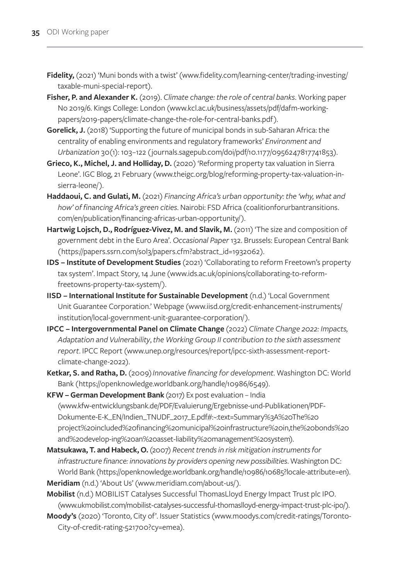- Fidelity, (2021) 'Muni bonds with a twist' ([www.fidelity.com/learning-center/trading-investing/](http://www.fidelity.com/learning-center/trading-investing/taxable-muni-special-report) [taxable-muni-special-report\)](http://www.fidelity.com/learning-center/trading-investing/taxable-muni-special-report).
- **Fisher, P. and Alexander K.** (2019). *Climate change: the role of central banks*. Working paper No 2019/6. Kings College: London ([www.kcl.ac.uk/business/assets/pdf/dafm-working](http://www.kcl.ac.uk/business/assets/pdf/dafm-working-papers/2019-papers/climate-change-the-role-for-central-banks.pdf)[papers/2019-papers/climate-change-the-role-for-central-banks.pdf\)](http://www.kcl.ac.uk/business/assets/pdf/dafm-working-papers/2019-papers/climate-change-the-role-for-central-banks.pdf).
- **Gorelick, J.** (2018) 'Supporting the future of municipal bonds in sub-Saharan Africa: the centrality of enabling environments and regulatory frameworks' *Environment and Urbanization* 30(1): 103–122 ([journals.sagepub.com/doi/pdf/10.1177/0956247817741853](http://journals.sagepub.com/doi/pdf/10.1177/0956247817741853)).
- **Grieco, K., Michel, J. and Holliday, D.** (2020) 'Reforming property tax valuation in Sierra Leone'. IGC Blog, 21 February [\(www.theigc.org/blog/reforming-property-tax-valuation-in](https://www.theigc.org/blog/reforming-property-tax-valuation-in-sierra-leone/)[sierra-leone/](https://www.theigc.org/blog/reforming-property-tax-valuation-in-sierra-leone/)).
- **Haddaoui, C. and Gulati, M.** (2021) *Financing Africa's urban opportunity: the 'why, what and how' of financing Africa's green cities*. Nairobi: FSD Africa [\(coalitionforurbantransitions.](https://coalitionforurbantransitions.com/en/publication/financing-africas-urban-opportunity/) [com/en/publication/financing-africas-urban-opportunity/](https://coalitionforurbantransitions.com/en/publication/financing-africas-urban-opportunity/)).
- Hartwig Lojsch, D., Rodríguez-Vivez, M. and Slavik, M. (2011) 'The size and composition of government debt in the Euro Area'. *Occasional Paper* 132. Brussels: European Central Bank ([https://papers.ssrn.com/sol3/papers.cfm?abstract\\_id=1932062\)](https://papers.ssrn.com/sol3/papers.cfm?abstract_id=1932062).
- **IDS Institute of Development Studies** (2021) 'Collaborating to reform Freetown's property tax system'. Impact Story, 14 June ([www.ids.ac.uk/opinions/collaborating-to-reform](http://www.ids.ac.uk/opinions/collaborating-to-reform-freetowns-property-tax-system/)[freetowns-property-tax-system/](http://www.ids.ac.uk/opinions/collaborating-to-reform-freetowns-property-tax-system/)).
- **IISD International Institute for Sustainable Development** (n.d.) 'Local Government Unit Guarantee Corporation.' Webpage ([www.iisd.org/credit-enhancement-instruments/](http://www.iisd.org/credit-enhancement-instruments/institution/local-government-unit-guarantee-corporation/) [institution/local-government-unit-guarantee-corporation/](http://www.iisd.org/credit-enhancement-instruments/institution/local-government-unit-guarantee-corporation/)).
- **IPCC Intergovernmental Panel on Climate Change** (2022) *Climate Change 2022: Impacts, Adaptation and Vulnerability*, *the Working Group II contribution to the sixth assessment report*. IPCC Report [\(www.unep.org/resources/report/ipcc-sixth-assessment-report](http://www.unep.org/resources/report/ipcc-sixth-assessment-report-climate-change-2022)[climate-change-2022](http://www.unep.org/resources/report/ipcc-sixth-assessment-report-climate-change-2022)).
- **Ketkar, S. and Ratha, D.** (2009) *Innovative financing for development*. Washington DC: World Bank ([https://openknowledge.worldbank.org/handle/10986/6549\)](https://openknowledge.worldbank.org/handle/10986/6549).

**KFW – German Development Bank** (2017) Ex post evaluation – India (www.kfw-entwicklungsbank.de/PDF/Evaluierung/Ergebnisse-und-Publikationen/PDF-Dokumente-E-K\_EN/Indien\_TNUDF\_2017\_E.pdf#:~:text=Summary%3A%20The%20 project%20included%20financing%20municipal%20infrastructure%20in,the%20bonds%20 and%20develop-ing%20an%20asset-liability%20management%20system).

- **Matsukawa, T. and Habeck, O.** (2007) *Recent trends in risk mitigation instruments for infrastructure finance: innovations by providers opening new possibilities*. Washington DC: World Bank [\(https://openknowledge.worldbank.org/handle/10986/10685?locale-attribute=en\)](https://openknowledge.worldbank.org/handle/10986/10685?locale-attribute=en). **Meridiam** (n.d.) 'About Us' [\(www.meridiam.com/about-us/](https://www.meridiam.com/about-us/)).
- **Mobilist** (n.d.) MOBILIST Catalyses Successful ThomasLloyd Energy Impact Trust plc IPO. [\(www.ukmobilist.com/mobilist-catalyses-successful-thomaslloyd-energy-impact-trust-plc-ipo/](http://www.ukmobilist.com/mobilist-catalyses-successful-thomaslloyd-energy-impact-trust-plc-ipo/)).
- **Moody's** (2020) 'Toronto, City of'. Issuer Statistics ([www.moodys.com/credit-ratings/Toronto-](http://www.moodys.com/credit-ratings/Toronto-City-of-credit-rating-521700?cy=emea)[City-of-credit-rating-521700?cy=emea\)](http://www.moodys.com/credit-ratings/Toronto-City-of-credit-rating-521700?cy=emea).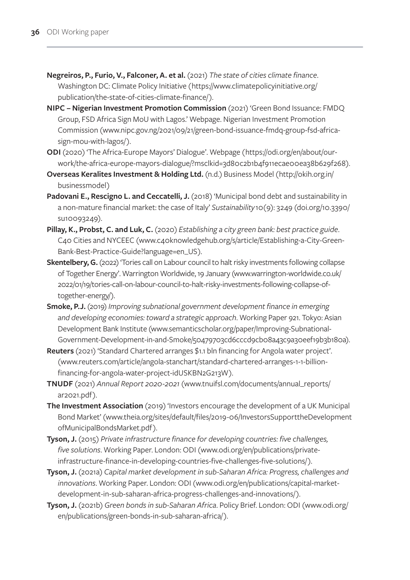- **Negreiros, P., Furio, V., Falconer, A. et al.** (2021) *The state of cities climate finance*. Washington DC: Climate Policy Initiative ([https://www.climatepolicyinitiative.org/](https://www.climatepolicyinitiative.org/publication/the-state-of-cities-climate-finance/) [publication/the-state-of-cities-climate-finance/\)](https://www.climatepolicyinitiative.org/publication/the-state-of-cities-climate-finance/).
- **NIPC Nigerian Investment Promotion Commission** (2021) 'Green Bond Issuance: FMDQ Group, FSD Africa Sign MoU with Lagos.' Webpage. Nigerian Investment Promotion Commission [\(www.nipc.gov.ng/2021/09/21/green-bond-issuance-fmdq-group-fsd-africa](http://www.nipc.gov.ng/2021/09/21/green-bond-issuance-fmdq-group-fsd-africa-sign-mou-with-lagos/)[sign-mou-with-lagos/\)](http://www.nipc.gov.ng/2021/09/21/green-bond-issuance-fmdq-group-fsd-africa-sign-mou-with-lagos/).
- **ODI** (2020) 'The Africa-Europe Mayors' Dialogue'. Webpage ([https://odi.org/en/about/our](https://odi.org/en/about/our-work/the-africa-europe-mayors-dialogue/?msclkid=3d80c2b1b4f911ecae00ea38b629f268)[work/the-africa-europe-mayors-dialogue/?msclkid=3d80c2b1b4f911ecae00ea38b629f268](https://odi.org/en/about/our-work/the-africa-europe-mayors-dialogue/?msclkid=3d80c2b1b4f911ecae00ea38b629f268)).
- **Overseas Keralites Investment & Holding Ltd.** (n.d.) Business Model ([http://okih.org.in/](http://okih.org.in/businessmodel)) [businessmodel\)](http://okih.org.in/businessmodel))
- Padovani E., Rescigno L. and Ceccatelli, J. (2018) 'Municipal bond debt and sustainability in a non-mature financial market: the case of Italy' *Sustainability* 10(9): 3249 [\(doi.org/10.3390/](https://doi.org/10.3390/su10093249) [su10093249](https://doi.org/10.3390/su10093249)).
- **Pillay, K., Probst, C. and Luk, C.** (2020) *Establishing a city green bank: best practice guide*. C40 Cities and NYCEEC ([www.c40knowledgehub.org/s/article/Establishing-a-City-Green-](http://www.c40knowledgehub.org/s/article/Establishing-a-City-Green-Bank-Best-Practice-Guide?language=en_US)[Bank-Best-Practice-Guide?language=en\\_US](http://www.c40knowledgehub.org/s/article/Establishing-a-City-Green-Bank-Best-Practice-Guide?language=en_US)).
- **Skentelbery, G.** (2022) 'Tories call on Labour council to halt risky investments following collapse of Together Energy'. Warrington Worldwide, 19 January [\(www.warrington-worldwide.co.uk/](http://www.warrington-worldwide.co.uk/2022/01/19/tories-call-on-labour-council-to-halt-risky-investments-following-collapse-of-together-energy/) [2022/01/19/tories-call-on-labour-council-to-halt-risky-investments-following-collapse-of](http://www.warrington-worldwide.co.uk/2022/01/19/tories-call-on-labour-council-to-halt-risky-investments-following-collapse-of-together-energy/)[together-energy/](http://www.warrington-worldwide.co.uk/2022/01/19/tories-call-on-labour-council-to-halt-risky-investments-following-collapse-of-together-energy/)).
- **Smoke, P.J.** (2019) *Improving subnational government development finance in emerging and developing economies: toward a strategic approach*. Working Paper 921. Tokyo: Asian Development Bank Institute [\(www.semanticscholar.org/paper/Improving-Subnational-](http://www.semanticscholar.org/paper/Improving-Subnational-Government-Development-in-and-Smoke/50479703cd6cccd9cb08a43c9a30eef19b3b180a)[Government-Development-in-and-Smoke/50479703cd6cccd9cb08a43c9a30eef19b3b180a](http://www.semanticscholar.org/paper/Improving-Subnational-Government-Development-in-and-Smoke/50479703cd6cccd9cb08a43c9a30eef19b3b180a)).
- **Reuters** (2021) 'Standard Chartered arranges \$1.1 bln financing for Angola water project'. [\(www.reuters.com/article/angola-stanchart/standard-chartered-arranges-1-1-billion](http://www.reuters.com/article/angola-stanchart/standard-chartered-arranges-1-1-billion-financing-for-angola-water-project-idUSKBN2G213W)[financing-for-angola-water-project-idUSKBN2G213W](http://www.reuters.com/article/angola-stanchart/standard-chartered-arranges-1-1-billion-financing-for-angola-water-project-idUSKBN2G213W)).
- **TNUDF** (2021) *Annual Report 2020-2021* ([www.tnuifsl.com/documents/annual\\_reports/](http://www.tnuifsl.com/documents/annual_reports/ar2021.pdf) [ar2021.pdf\)](http://www.tnuifsl.com/documents/annual_reports/ar2021.pdf).
- **The Investment Association** (2019) 'Investors encourage the development of a UK Municipal Bond Market' ([www.theia.org/sites/default/files/2019-06/InvestorsSupporttheDevelopment](http://www.theia.org/sites/default/files/2019-06/InvestorsSupporttheDevelopment ofMunicipalBondsMarket.pdf)  [ofMunicipalBondsMarket.pdf](http://www.theia.org/sites/default/files/2019-06/InvestorsSupporttheDevelopment ofMunicipalBondsMarket.pdf)).
- **Tyson, J.** (2015) *Private infrastructure finance for developing countries: five challenges, five solutions*. Working Paper. London: ODI ([www.odi.org/en/publications/private](http://www.odi.org/en/publications/private-infrastructure-finance-in-developing-countries-five-challenges-five-solutions/)[infrastructure-finance-in-developing-countries-five-challenges-five-solutions/](http://www.odi.org/en/publications/private-infrastructure-finance-in-developing-countries-five-challenges-five-solutions/)).
- **Tyson, J.** (2021a) *Capital market development in sub-Saharan Africa: Progress, challenges and innovations*. Working Paper. London: ODI [\(www.odi.org/en/publications/capital-market](http://www.odi.org/en/publications/capital-market-development-in-sub-saharan-africa-progress-challenges-and-innovations/)[development-in-sub-saharan-africa-progress-challenges-and-innovations/](http://www.odi.org/en/publications/capital-market-development-in-sub-saharan-africa-progress-challenges-and-innovations/)).
- **Tyson, J.** (2021b) *Green bonds in sub-Saharan Africa*. Policy Brief. London: ODI ([www.odi.org/](http://www.odi.org/en/publications/green-bonds-in-sub-saharan-africa/) [en/publications/green-bonds-in-sub-saharan-africa/\)](http://www.odi.org/en/publications/green-bonds-in-sub-saharan-africa/).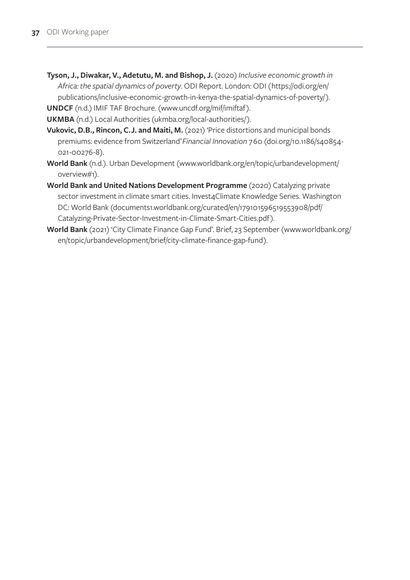- **Tyson, J., Diwakar, V., Adetutu, M. and Bishop, J.** (2020) *Inclusive economic growth in Africa: the spatial dynamics of poverty*. ODI Report. London: ODI ([https://odi.org/en/](https://odi.org/en/publications/inclusive-economic-growth-in-kenya-the-spatial-dynamics-of-poverty/) [publications/inclusive-economic-growth-in-kenya-the-spatial-dynamics-of-poverty/](https://odi.org/en/publications/inclusive-economic-growth-in-kenya-the-spatial-dynamics-of-poverty/)).
- **UNDCF** (n.d.) IMIF [TAF Brochure](https://www.uncdf.org/Download/AdminFileWithFilename?id=15279&cultureId=127&filename=20082021-imif-taf-brochure-2020pdf). [\(www.uncdf.org/mif/imiftaf\)](http://(www.uncdf.org/mif/imiftaf).
- **UKMBA** (n.d.) Local Authorities [\(ukmba.org/local-authorities/\)](http://ukmba.org/local-authorities/).
- Vukovic, D.B., Rincon, C.J. and Maiti, M. (2021) 'Price distortions and municipal bonds premiums: evidence from Switzerland' *Financial Innovation* 7 60 [\(doi.org/10.1186/s40854-](https://doi.org/10.1186/s40854-021-00276-8) [021-00276-8\)](https://doi.org/10.1186/s40854-021-00276-8).
- **World Bank** (n.d.). Urban Development (www.worldbank.org/en/topic/urbandevelopment/ overview#1).
- **World Bank and United Nations Development Programme** (2020) Catalyzing private sector investment in climate smart cities. Invest4Climate Knowledge Series. Washington DC: World Bank [\(documents1.worldbank.org/curated/en/179101596519553908/pdf/](https://documents1.worldbank.org/curated/en/179101596519553908/pdf/Catalyzing-Private-Sector-Investment-in-Climate-Smart-Cities.pdf) [Catalyzing-Private-Sector-Investment-in-Climate-Smart-Cities.pdf\)](https://documents1.worldbank.org/curated/en/179101596519553908/pdf/Catalyzing-Private-Sector-Investment-in-Climate-Smart-Cities.pdf).
- **World Bank** (2021) 'City Climate Finance Gap Fund'. Brief, 23 September ([www.worldbank.org/](http://www.worldbank.org/en/topic/urbandevelopment/brief/city-climate-finance-gap-fund) [en/topic/urbandevelopment/brief/city-climate-finance-gap-fund\)](http://www.worldbank.org/en/topic/urbandevelopment/brief/city-climate-finance-gap-fund).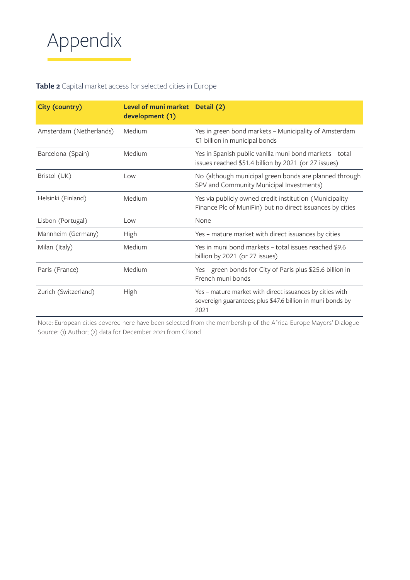<span id="page-44-0"></span>

#### **Table 2** Capital market access for selected cities in Europe

| City (country)          | Level of muni market Detail (2)<br>development (1) |                                                                                                                                |
|-------------------------|----------------------------------------------------|--------------------------------------------------------------------------------------------------------------------------------|
| Amsterdam (Netherlands) | Medium                                             | Yes in green bond markets - Municipality of Amsterdam<br>€1 billion in municipal bonds                                         |
| Barcelona (Spain)       | Medium                                             | Yes in Spanish public vanilla muni bond markets - total<br>issues reached \$51.4 billion by 2021 (or 27 issues)                |
| Bristol (UK)            | Low                                                | No (although municipal green bonds are planned through<br>SPV and Community Municipal Investments)                             |
| Helsinki (Finland)      | Medium                                             | Yes via publicly owned credit institution (Municipality<br>Finance Plc of MuniFin) but no direct issuances by cities           |
| Lisbon (Portugal)       | Low                                                | None                                                                                                                           |
| Mannheim (Germany)      | High                                               | Yes – mature market with direct issuances by cities                                                                            |
| Milan (Italy)           | Medium                                             | Yes in muni bond markets - total issues reached \$9.6<br>billion by 2021 (or 27 issues)                                        |
| Paris (France)          | Medium                                             | Yes - green bonds for City of Paris plus \$25.6 billion in<br>French muni bonds                                                |
| Zurich (Switzerland)    | High                                               | Yes - mature market with direct issuances by cities with<br>sovereign guarantees; plus \$47.6 billion in muni bonds by<br>2021 |

Note: European cities covered here have been selected from the membership of the Africa-Europe Mayors' Dialogue Source: (1) Author; (2) data for December 2021 from CBond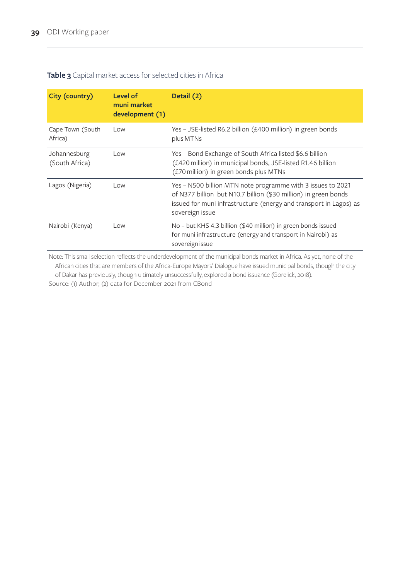## <span id="page-45-0"></span>**Table 3** Capital market access for selected cities in Africa

| City (country)                 | Level of<br>muni market<br>development (1) | Detail (2)                                                                                                                                                                                                             |
|--------------------------------|--------------------------------------------|------------------------------------------------------------------------------------------------------------------------------------------------------------------------------------------------------------------------|
| Cape Town (South<br>Africa)    | Low                                        | Yes - JSE-listed R6.2 billion (£400 million) in green bonds<br>plus MTNs                                                                                                                                               |
| Johannesburg<br>(South Africa) | Low                                        | Yes - Bond Exchange of South Africa listed \$6.6 billion<br>(£420 million) in municipal bonds, JSE-listed R1.46 billion<br>(£70 million) in green bonds plus MTNs                                                      |
| Lagos (Nigeria)                | Low                                        | Yes - N500 billion MTN note programme with 3 issues to 2021<br>of N377 billion but N10.7 billion (\$30 million) in green bonds<br>issued for muni infrastructure (energy and transport in Lagos) as<br>sovereign issue |
| Nairobi (Kenya)                | Low                                        | No - but KHS 4.3 billion (\$40 million) in green bonds issued<br>for muni infrastructure (energy and transport in Nairobi) as<br>sovereign issue                                                                       |

Note: This small selection reflects the underdevelopment of the municipal bonds market in Africa. As yet, none of the African cities that are members of the Africa-Europe Mayors' Dialogue have issued municipal bonds, though the city of Dakar has previously, though ultimately unsuccessfully, explored a bond issuance (Gorelick, 2018).

Source: (1) Author; (2) data for December 2021 from CBond